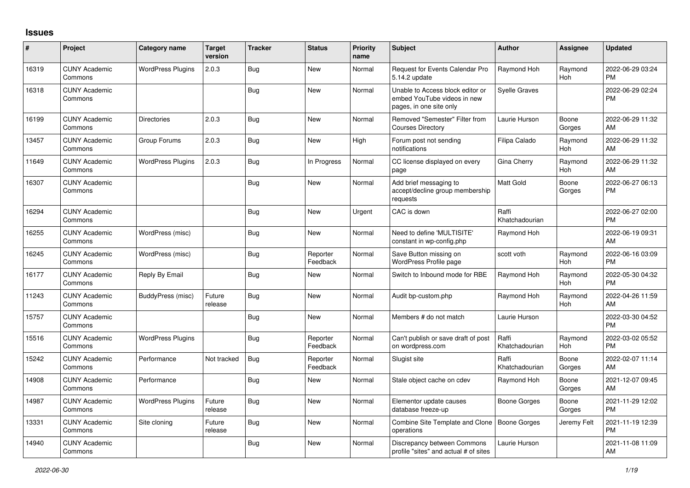## **Issues**

| #     | Project                         | <b>Category name</b>     | <b>Target</b><br>version | <b>Tracker</b> | <b>Status</b>        | Priority<br>name | <b>Subject</b>                                                                             | <b>Author</b>           | Assignee        | <b>Updated</b>                |
|-------|---------------------------------|--------------------------|--------------------------|----------------|----------------------|------------------|--------------------------------------------------------------------------------------------|-------------------------|-----------------|-------------------------------|
| 16319 | <b>CUNY Academic</b><br>Commons | <b>WordPress Plugins</b> | 2.0.3                    | <b>Bug</b>     | New                  | Normal           | Request for Events Calendar Pro<br>5.14.2 update                                           | Raymond Hoh             | Raymond<br>Hoh  | 2022-06-29 03:24<br><b>PM</b> |
| 16318 | <b>CUNY Academic</b><br>Commons |                          |                          | Bug            | New                  | Normal           | Unable to Access block editor or<br>embed YouTube videos in new<br>pages, in one site only | <b>Syelle Graves</b>    |                 | 2022-06-29 02:24<br>PM        |
| 16199 | <b>CUNY Academic</b><br>Commons | <b>Directories</b>       | 2.0.3                    | <b>Bug</b>     | <b>New</b>           | Normal           | Removed "Semester" Filter from<br><b>Courses Directory</b>                                 | Laurie Hurson           | Boone<br>Gorges | 2022-06-29 11:32<br>AM        |
| 13457 | <b>CUNY Academic</b><br>Commons | Group Forums             | 2.0.3                    | Bug            | <b>New</b>           | High             | Forum post not sending<br>notifications                                                    | Filipa Calado           | Raymond<br>Hoh  | 2022-06-29 11:32<br>AM        |
| 11649 | <b>CUNY Academic</b><br>Commons | <b>WordPress Plugins</b> | 2.0.3                    | Bug            | In Progress          | Normal           | CC license displayed on every<br>page                                                      | Gina Cherry             | Raymond<br>Hoh  | 2022-06-29 11:32<br>AM        |
| 16307 | <b>CUNY Academic</b><br>Commons |                          |                          | Bug            | New                  | Normal           | Add brief messaging to<br>accept/decline group membership<br>requests                      | <b>Matt Gold</b>        | Boone<br>Gorges | 2022-06-27 06:13<br><b>PM</b> |
| 16294 | <b>CUNY Academic</b><br>Commons |                          |                          | Bug            | New                  | Urgent           | CAC is down                                                                                | Raffi<br>Khatchadourian |                 | 2022-06-27 02:00<br><b>PM</b> |
| 16255 | <b>CUNY Academic</b><br>Commons | WordPress (misc)         |                          | Bug            | New                  | Normal           | Need to define 'MULTISITE'<br>constant in wp-config.php                                    | Raymond Hoh             |                 | 2022-06-19 09:31<br>AM        |
| 16245 | <b>CUNY Academic</b><br>Commons | WordPress (misc)         |                          | <b>Bug</b>     | Reporter<br>Feedback | Normal           | Save Button missing on<br>WordPress Profile page                                           | scott voth              | Raymond<br>Hoh  | 2022-06-16 03:09<br><b>PM</b> |
| 16177 | <b>CUNY Academic</b><br>Commons | Reply By Email           |                          | Bug            | <b>New</b>           | Normal           | Switch to Inbound mode for RBE                                                             | Raymond Hoh             | Raymond<br>Hoh  | 2022-05-30 04:32<br><b>PM</b> |
| 11243 | <b>CUNY Academic</b><br>Commons | BuddyPress (misc)        | Future<br>release        | Bug            | <b>New</b>           | Normal           | Audit bp-custom.php                                                                        | Raymond Hoh             | Raymond<br>Hoh  | 2022-04-26 11:59<br>AM        |
| 15757 | <b>CUNY Academic</b><br>Commons |                          |                          | Bug            | New                  | Normal           | Members # do not match                                                                     | Laurie Hurson           |                 | 2022-03-30 04:52<br><b>PM</b> |
| 15516 | <b>CUNY Academic</b><br>Commons | <b>WordPress Plugins</b> |                          | <b>Bug</b>     | Reporter<br>Feedback | Normal           | Can't publish or save draft of post<br>on wordpress.com                                    | Raffi<br>Khatchadourian | Raymond<br>Hoh  | 2022-03-02 05:52<br><b>PM</b> |
| 15242 | <b>CUNY Academic</b><br>Commons | Performance              | Not tracked              | Bug            | Reporter<br>Feedback | Normal           | Slugist site                                                                               | Raffi<br>Khatchadourian | Boone<br>Gorges | 2022-02-07 11:14<br>AM        |
| 14908 | <b>CUNY Academic</b><br>Commons | Performance              |                          | Bug            | <b>New</b>           | Normal           | Stale object cache on cdev                                                                 | Raymond Hoh             | Boone<br>Gorges | 2021-12-07 09:45<br>AM        |
| 14987 | <b>CUNY Academic</b><br>Commons | <b>WordPress Plugins</b> | Future<br>release        | Bug            | <b>New</b>           | Normal           | Elementor update causes<br>database freeze-up                                              | Boone Gorges            | Boone<br>Gorges | 2021-11-29 12:02<br><b>PM</b> |
| 13331 | <b>CUNY Academic</b><br>Commons | Site cloning             | Future<br>release        | Bug            | New                  | Normal           | Combine Site Template and Clone<br>operations                                              | <b>Boone Gorges</b>     | Jeremy Felt     | 2021-11-19 12:39<br><b>PM</b> |
| 14940 | <b>CUNY Academic</b><br>Commons |                          |                          | <b>Bug</b>     | <b>New</b>           | Normal           | Discrepancy between Commons<br>profile "sites" and actual # of sites                       | Laurie Hurson           |                 | 2021-11-08 11:09<br>AM        |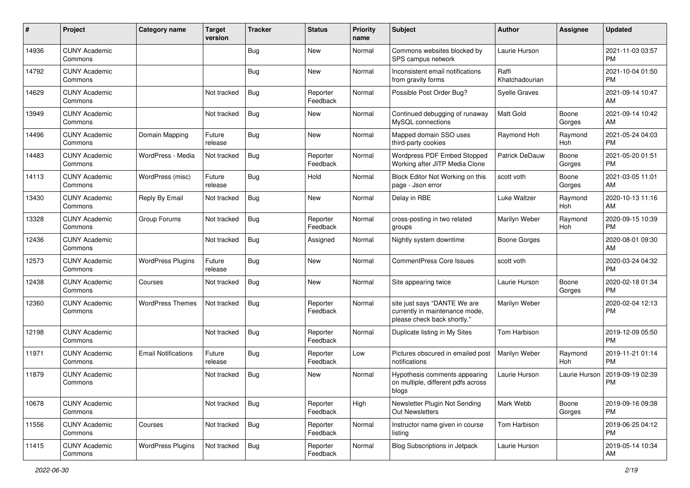| #     | Project                         | <b>Category name</b>       | <b>Target</b><br>version | <b>Tracker</b> | <b>Status</b>        | <b>Priority</b><br>name | <b>Subject</b>                                                                                | <b>Author</b>           | <b>Assignee</b> | <b>Updated</b>                |
|-------|---------------------------------|----------------------------|--------------------------|----------------|----------------------|-------------------------|-----------------------------------------------------------------------------------------------|-------------------------|-----------------|-------------------------------|
| 14936 | <b>CUNY Academic</b><br>Commons |                            |                          | <b>Bug</b>     | <b>New</b>           | Normal                  | Commons websites blocked by<br>SPS campus network                                             | Laurie Hurson           |                 | 2021-11-03 03:57<br><b>PM</b> |
| 14792 | <b>CUNY Academic</b><br>Commons |                            |                          | Bug            | New                  | Normal                  | Inconsistent email notifications<br>from gravity forms                                        | Raffi<br>Khatchadourian |                 | 2021-10-04 01:50<br><b>PM</b> |
| 14629 | <b>CUNY Academic</b><br>Commons |                            | Not tracked              | <b>Bug</b>     | Reporter<br>Feedback | Normal                  | Possible Post Order Bug?                                                                      | <b>Syelle Graves</b>    |                 | 2021-09-14 10:47<br>AM.       |
| 13949 | <b>CUNY Academic</b><br>Commons |                            | Not tracked              | Bug            | <b>New</b>           | Normal                  | Continued debugging of runaway<br>MySQL connections                                           | <b>Matt Gold</b>        | Boone<br>Gorges | 2021-09-14 10:42<br>AM        |
| 14496 | <b>CUNY Academic</b><br>Commons | Domain Mapping             | Future<br>release        | <b>Bug</b>     | <b>New</b>           | Normal                  | Mapped domain SSO uses<br>third-party cookies                                                 | Raymond Hoh             | Raymond<br>Hoh  | 2021-05-24 04:03<br><b>PM</b> |
| 14483 | <b>CUNY Academic</b><br>Commons | WordPress - Media          | Not tracked              | Bug            | Reporter<br>Feedback | Normal                  | Wordpress PDF Embed Stopped<br>Working after JITP Media Clone                                 | Patrick DeDauw          | Boone<br>Gorges | 2021-05-20 01:51<br><b>PM</b> |
| 14113 | <b>CUNY Academic</b><br>Commons | WordPress (misc)           | Future<br>release        | Bug            | Hold                 | Normal                  | Block Editor Not Working on this<br>page - Json error                                         | scott voth              | Boone<br>Gorges | 2021-03-05 11:01<br>AM        |
| 13430 | <b>CUNY Academic</b><br>Commons | Reply By Email             | Not tracked              | <b>Bug</b>     | New                  | Normal                  | Delay in RBE                                                                                  | Luke Waltzer            | Raymond<br>Hoh  | 2020-10-13 11:16<br>AM.       |
| 13328 | <b>CUNY Academic</b><br>Commons | Group Forums               | Not tracked              | <b>Bug</b>     | Reporter<br>Feedback | Normal                  | cross-posting in two related<br>groups                                                        | Marilyn Weber           | Raymond<br>Hoh  | 2020-09-15 10:39<br><b>PM</b> |
| 12436 | <b>CUNY Academic</b><br>Commons |                            | Not tracked              | Bug            | Assigned             | Normal                  | Nightly system downtime                                                                       | <b>Boone Gorges</b>     |                 | 2020-08-01 09:30<br>AM.       |
| 12573 | <b>CUNY Academic</b><br>Commons | <b>WordPress Plugins</b>   | Future<br>release        | Bug            | <b>New</b>           | Normal                  | <b>CommentPress Core Issues</b>                                                               | scott voth              |                 | 2020-03-24 04:32<br><b>PM</b> |
| 12438 | <b>CUNY Academic</b><br>Commons | Courses                    | Not tracked              | Bug            | <b>New</b>           | Normal                  | Site appearing twice                                                                          | Laurie Hurson           | Boone<br>Gorges | 2020-02-18 01:34<br>PM.       |
| 12360 | <b>CUNY Academic</b><br>Commons | <b>WordPress Themes</b>    | Not tracked              | Bug            | Reporter<br>Feedback | Normal                  | site just says "DANTE We are<br>currently in maintenance mode,<br>please check back shortly." | Marilyn Weber           |                 | 2020-02-04 12:13<br><b>PM</b> |
| 12198 | <b>CUNY Academic</b><br>Commons |                            | Not tracked              | Bug            | Reporter<br>Feedback | Normal                  | Duplicate listing in My Sites                                                                 | Tom Harbison            |                 | 2019-12-09 05:50<br><b>PM</b> |
| 11971 | <b>CUNY Academic</b><br>Commons | <b>Email Notifications</b> | Future<br>release        | Bug            | Reporter<br>Feedback | Low                     | Pictures obscured in emailed post<br>notifications                                            | Marilyn Weber           | Raymond<br>Hoh  | 2019-11-21 01:14<br><b>PM</b> |
| 11879 | <b>CUNY Academic</b><br>Commons |                            | Not tracked              | Bug            | New                  | Normal                  | Hypothesis comments appearing<br>on multiple, different pdfs across<br>blogs                  | Laurie Hurson           | Laurie Hurson   | 2019-09-19 02:39<br><b>PM</b> |
| 10678 | <b>CUNY Academic</b><br>Commons |                            | Not tracked              | Bug            | Reporter<br>Feedback | High                    | Newsletter Plugin Not Sending<br>Out Newsletters                                              | Mark Webb               | Boone<br>Gorges | 2019-09-16 09:38<br>PM.       |
| 11556 | <b>CUNY Academic</b><br>Commons | Courses                    | Not tracked              | <b>Bug</b>     | Reporter<br>Feedback | Normal                  | Instructor name given in course<br>listing                                                    | Tom Harbison            |                 | 2019-06-25 04:12<br><b>PM</b> |
| 11415 | <b>CUNY Academic</b><br>Commons | <b>WordPress Plugins</b>   | Not tracked              | <b>Bug</b>     | Reporter<br>Feedback | Normal                  | <b>Blog Subscriptions in Jetpack</b>                                                          | Laurie Hurson           |                 | 2019-05-14 10:34<br>AM        |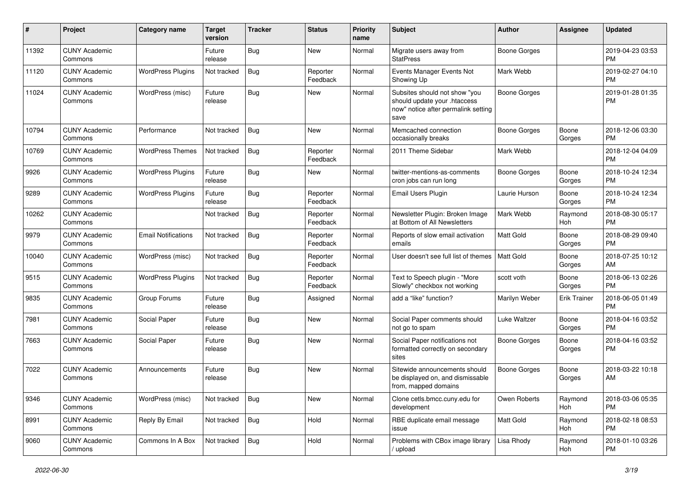| #     | Project                         | Category name              | <b>Target</b><br>version | <b>Tracker</b> | <b>Status</b>        | Priority<br>name | Subject                                                                                                      | Author              | <b>Assignee</b> | <b>Updated</b>                |
|-------|---------------------------------|----------------------------|--------------------------|----------------|----------------------|------------------|--------------------------------------------------------------------------------------------------------------|---------------------|-----------------|-------------------------------|
| 11392 | <b>CUNY Academic</b><br>Commons |                            | Future<br>release        | <b>Bug</b>     | <b>New</b>           | Normal           | Migrate users away from<br><b>StatPress</b>                                                                  | <b>Boone Gorges</b> |                 | 2019-04-23 03:53<br><b>PM</b> |
| 11120 | <b>CUNY Academic</b><br>Commons | <b>WordPress Plugins</b>   | Not tracked              | Bug            | Reporter<br>Feedback | Normal           | Events Manager Events Not<br>Showing Up                                                                      | Mark Webb           |                 | 2019-02-27 04:10<br><b>PM</b> |
| 11024 | <b>CUNY Academic</b><br>Commons | WordPress (misc)           | Future<br>release        | Bug            | New                  | Normal           | Subsites should not show "you<br>should update your .htaccess<br>now" notice after permalink setting<br>save | <b>Boone Gorges</b> |                 | 2019-01-28 01:35<br><b>PM</b> |
| 10794 | <b>CUNY Academic</b><br>Commons | Performance                | Not tracked              | Bug            | New                  | Normal           | Memcached connection<br>occasionally breaks                                                                  | <b>Boone Gorges</b> | Boone<br>Gorges | 2018-12-06 03:30<br><b>PM</b> |
| 10769 | <b>CUNY Academic</b><br>Commons | <b>WordPress Themes</b>    | Not tracked              | Bug            | Reporter<br>Feedback | Normal           | 2011 Theme Sidebar                                                                                           | Mark Webb           |                 | 2018-12-04 04:09<br><b>PM</b> |
| 9926  | <b>CUNY Academic</b><br>Commons | <b>WordPress Plugins</b>   | Future<br>release        | Bug            | <b>New</b>           | Normal           | twitter-mentions-as-comments<br>cron jobs can run long                                                       | <b>Boone Gorges</b> | Boone<br>Gorges | 2018-10-24 12:34<br><b>PM</b> |
| 9289  | <b>CUNY Academic</b><br>Commons | <b>WordPress Plugins</b>   | Future<br>release        | <b>Bug</b>     | Reporter<br>Feedback | Normal           | <b>Email Users Plugin</b>                                                                                    | Laurie Hurson       | Boone<br>Gorges | 2018-10-24 12:34<br><b>PM</b> |
| 10262 | <b>CUNY Academic</b><br>Commons |                            | Not tracked              | Bug            | Reporter<br>Feedback | Normal           | Newsletter Plugin: Broken Image<br>at Bottom of All Newsletters                                              | Mark Webb           | Raymond<br>Hoh  | 2018-08-30 05:17<br><b>PM</b> |
| 9979  | <b>CUNY Academic</b><br>Commons | <b>Email Notifications</b> | Not tracked              | Bug            | Reporter<br>Feedback | Normal           | Reports of slow email activation<br>emails                                                                   | <b>Matt Gold</b>    | Boone<br>Gorges | 2018-08-29 09:40<br><b>PM</b> |
| 10040 | <b>CUNY Academic</b><br>Commons | WordPress (misc)           | Not tracked              | Bug            | Reporter<br>Feedback | Normal           | User doesn't see full list of themes                                                                         | Matt Gold           | Boone<br>Gorges | 2018-07-25 10:12<br>AM        |
| 9515  | <b>CUNY Academic</b><br>Commons | <b>WordPress Plugins</b>   | Not tracked              | Bug            | Reporter<br>Feedback | Normal           | Text to Speech plugin - "More<br>Slowly" checkbox not working                                                | scott voth          | Boone<br>Gorges | 2018-06-13 02:26<br><b>PM</b> |
| 9835  | <b>CUNY Academic</b><br>Commons | Group Forums               | Future<br>release        | <b>Bug</b>     | Assigned             | Normal           | add a "like" function?                                                                                       | Marilyn Weber       | Erik Trainer    | 2018-06-05 01:49<br><b>PM</b> |
| 7981  | <b>CUNY Academic</b><br>Commons | Social Paper               | Future<br>release        | Bug            | <b>New</b>           | Normal           | Social Paper comments should<br>not go to spam                                                               | Luke Waltzer        | Boone<br>Gorges | 2018-04-16 03:52<br><b>PM</b> |
| 7663  | <b>CUNY Academic</b><br>Commons | Social Paper               | Future<br>release        | Bug            | <b>New</b>           | Normal           | Social Paper notifications not<br>formatted correctly on secondary<br>sites                                  | Boone Gorges        | Boone<br>Gorges | 2018-04-16 03:52<br><b>PM</b> |
| 7022  | <b>CUNY Academic</b><br>Commons | Announcements              | Future<br>release        | Bug            | <b>New</b>           | Normal           | Sitewide announcements should<br>be displayed on, and dismissable<br>from, mapped domains                    | Boone Gorges        | Boone<br>Gorges | 2018-03-22 10:18<br>AM        |
| 9346  | <b>CUNY Academic</b><br>Commons | WordPress (misc)           | Not tracked              | Bug            | New                  | Normal           | Clone cetls.bmcc.cuny.edu for<br>development                                                                 | Owen Roberts        | Raymond<br>Hoh  | 2018-03-06 05:35<br><b>PM</b> |
| 8991  | <b>CUNY Academic</b><br>Commons | Reply By Email             | Not tracked              | <b>Bug</b>     | Hold                 | Normal           | RBE duplicate email message<br>issue                                                                         | Matt Gold           | Raymond<br>Hoh  | 2018-02-18 08:53<br><b>PM</b> |
| 9060  | <b>CUNY Academic</b><br>Commons | Commons In A Box           | Not tracked              | <b>Bug</b>     | Hold                 | Normal           | Problems with CBox image library<br>/ upload                                                                 | Lisa Rhody          | Raymond<br>Hoh  | 2018-01-10 03:26<br><b>PM</b> |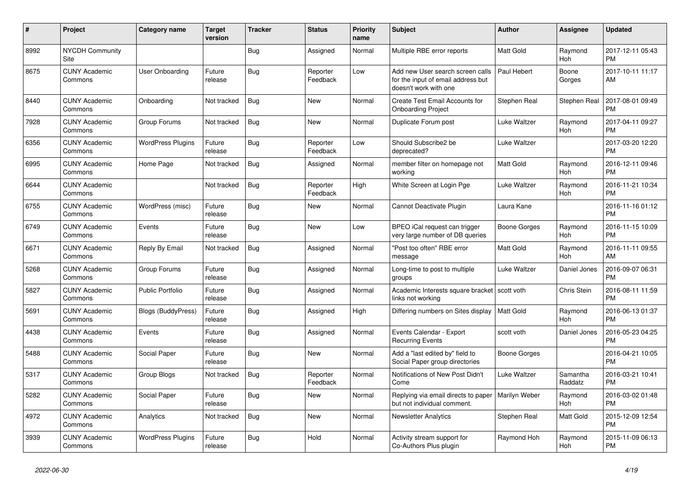| #    | Project                         | <b>Category name</b>     | <b>Target</b><br>version | <b>Tracker</b> | <b>Status</b>        | <b>Priority</b><br>name | <b>Subject</b>                                                                                  | <b>Author</b>    | <b>Assignee</b>     | <b>Updated</b>                |
|------|---------------------------------|--------------------------|--------------------------|----------------|----------------------|-------------------------|-------------------------------------------------------------------------------------------------|------------------|---------------------|-------------------------------|
| 8992 | <b>NYCDH Community</b><br>Site  |                          |                          | <b>Bug</b>     | Assigned             | Normal                  | Multiple RBE error reports                                                                      | <b>Matt Gold</b> | Raymond<br>Hoh      | 2017-12-11 05:43<br><b>PM</b> |
| 8675 | <b>CUNY Academic</b><br>Commons | User Onboarding          | Future<br>release        | Bug            | Reporter<br>Feedback | Low                     | Add new User search screen calls<br>for the input of email address but<br>doesn't work with one | Paul Hebert      | Boone<br>Gorges     | 2017-10-11 11:17<br>AM        |
| 8440 | <b>CUNY Academic</b><br>Commons | Onboarding               | Not tracked              | Bug            | <b>New</b>           | Normal                  | Create Test Email Accounts for<br><b>Onboarding Project</b>                                     | Stephen Real     | Stephen Real        | 2017-08-01 09:49<br><b>PM</b> |
| 7928 | <b>CUNY Academic</b><br>Commons | Group Forums             | Not tracked              | Bug            | New                  | Normal                  | Duplicate Forum post                                                                            | Luke Waltzer     | Raymond<br>Hoh      | 2017-04-11 09:27<br><b>PM</b> |
| 6356 | <b>CUNY Academic</b><br>Commons | <b>WordPress Plugins</b> | Future<br>release        | Bug            | Reporter<br>Feedback | Low                     | Should Subscribe2 be<br>deprecated?                                                             | Luke Waltzer     |                     | 2017-03-20 12:20<br><b>PM</b> |
| 6995 | <b>CUNY Academic</b><br>Commons | Home Page                | Not tracked              | Bug            | Assigned             | Normal                  | member filter on homepage not<br>working                                                        | <b>Matt Gold</b> | Raymond<br>Hoh      | 2016-12-11 09:46<br><b>PM</b> |
| 6644 | <b>CUNY Academic</b><br>Commons |                          | Not tracked              | Bug            | Reporter<br>Feedback | High                    | White Screen at Login Pge                                                                       | Luke Waltzer     | Raymond<br>Hoh      | 2016-11-21 10:34<br><b>PM</b> |
| 6755 | <b>CUNY Academic</b><br>Commons | WordPress (misc)         | Future<br>release        | Bug            | New                  | Normal                  | Cannot Deactivate Plugin                                                                        | Laura Kane       |                     | 2016-11-16 01:12<br><b>PM</b> |
| 6749 | <b>CUNY Academic</b><br>Commons | Events                   | Future<br>release        | <b>Bug</b>     | <b>New</b>           | Low                     | BPEO iCal request can trigger<br>very large number of DB queries                                | Boone Gorges     | Raymond<br>Hoh      | 2016-11-15 10:09<br><b>PM</b> |
| 6671 | <b>CUNY Academic</b><br>Commons | Reply By Email           | Not tracked              | Bug            | Assigned             | Normal                  | "Post too often" RBE error<br>message                                                           | Matt Gold        | Raymond<br>Hoh      | 2016-11-11 09:55<br>AM        |
| 5268 | <b>CUNY Academic</b><br>Commons | Group Forums             | Future<br>release        | Bug            | Assigned             | Normal                  | Long-time to post to multiple<br>groups                                                         | Luke Waltzer     | Daniel Jones        | 2016-09-07 06:31<br><b>PM</b> |
| 5827 | <b>CUNY Academic</b><br>Commons | Public Portfolio         | Future<br>release        | Bug            | Assigned             | Normal                  | Academic Interests square bracket   scott voth<br>links not working                             |                  | Chris Stein         | 2016-08-11 11:59<br><b>PM</b> |
| 5691 | <b>CUNY Academic</b><br>Commons | Blogs (BuddyPress)       | Future<br>release        | Bug            | Assigned             | High                    | Differing numbers on Sites display                                                              | Matt Gold        | Raymond<br>Hoh      | 2016-06-13 01:37<br><b>PM</b> |
| 4438 | <b>CUNY Academic</b><br>Commons | Events                   | Future<br>release        | Bug            | Assigned             | Normal                  | Events Calendar - Export<br><b>Recurring Events</b>                                             | scott voth       | Daniel Jones        | 2016-05-23 04:25<br><b>PM</b> |
| 5488 | <b>CUNY Academic</b><br>Commons | Social Paper             | Future<br>release        | Bug            | New                  | Normal                  | Add a "last edited by" field to<br>Social Paper group directories                               | Boone Gorges     |                     | 2016-04-21 10:05<br><b>PM</b> |
| 5317 | <b>CUNY Academic</b><br>Commons | Group Blogs              | Not tracked              | Bug            | Reporter<br>Feedback | Normal                  | Notifications of New Post Didn't<br>Come                                                        | Luke Waltzer     | Samantha<br>Raddatz | 2016-03-21 10:41<br><b>PM</b> |
| 5282 | <b>CUNY Academic</b><br>Commons | Social Paper             | Future<br>release        | Bug            | <b>New</b>           | Normal                  | Replying via email directs to paper   Marilyn Weber<br>but not individual comment.              |                  | Raymond<br>Hoh      | 2016-03-02 01:48<br><b>PM</b> |
| 4972 | <b>CUNY Academic</b><br>Commons | Analytics                | Not tracked              | Bug            | <b>New</b>           | Normal                  | <b>Newsletter Analytics</b>                                                                     | Stephen Real     | Matt Gold           | 2015-12-09 12:54<br><b>PM</b> |
| 3939 | <b>CUNY Academic</b><br>Commons | <b>WordPress Plugins</b> | Future<br>release        | Bug            | Hold                 | Normal                  | Activity stream support for<br>Co-Authors Plus plugin                                           | Raymond Hoh      | Raymond<br>Hoh      | 2015-11-09 06:13<br><b>PM</b> |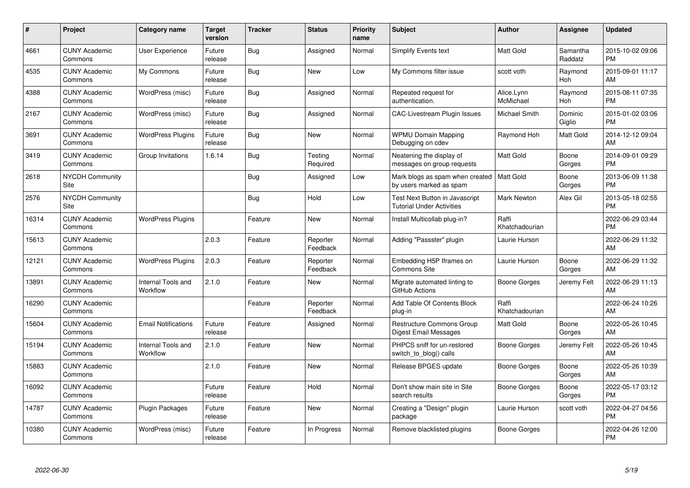| $\pmb{\#}$ | Project                               | <b>Category name</b>           | <b>Target</b><br>version | <b>Tracker</b> | <b>Status</b>        | <b>Priority</b><br>name | <b>Subject</b>                                                     | <b>Author</b>           | <b>Assignee</b>     | <b>Updated</b>                |
|------------|---------------------------------------|--------------------------------|--------------------------|----------------|----------------------|-------------------------|--------------------------------------------------------------------|-------------------------|---------------------|-------------------------------|
| 4661       | <b>CUNY Academic</b><br>Commons       | <b>User Experience</b>         | Future<br>release        | Bug            | Assigned             | Normal                  | Simplify Events text                                               | <b>Matt Gold</b>        | Samantha<br>Raddatz | 2015-10-02 09:06<br><b>PM</b> |
| 4535       | <b>CUNY Academic</b><br>Commons       | My Commons                     | Future<br>release        | Bug            | <b>New</b>           | Low                     | My Commons filter issue                                            | scott voth              | Raymond<br>Hoh      | 2015-09-01 11:17<br>AM        |
| 4388       | <b>CUNY Academic</b><br>Commons       | WordPress (misc)               | Future<br>release        | Bug            | Assigned             | Normal                  | Repeated request for<br>authentication.                            | Alice.Lynn<br>McMichael | Raymond<br>Hoh      | 2015-08-11 07:35<br><b>PM</b> |
| 2167       | <b>CUNY Academic</b><br>Commons       | WordPress (misc)               | Future<br>release        | Bug            | Assigned             | Normal                  | CAC-Livestream Plugin Issues                                       | Michael Smith           | Dominic<br>Giglio   | 2015-01-02 03:06<br><b>PM</b> |
| 3691       | <b>CUNY Academic</b><br>Commons       | <b>WordPress Plugins</b>       | Future<br>release        | Bug            | <b>New</b>           | Normal                  | <b>WPMU Domain Mapping</b><br>Debugging on cdev                    | Raymond Hoh             | Matt Gold           | 2014-12-12 09:04<br>AM        |
| 3419       | <b>CUNY Academic</b><br>Commons       | Group Invitations              | 1.6.14                   | <b>Bug</b>     | Testing<br>Required  | Normal                  | Neatening the display of<br>messages on group requests             | <b>Matt Gold</b>        | Boone<br>Gorges     | 2014-09-01 09:29<br><b>PM</b> |
| 2618       | <b>NYCDH Community</b><br>Site        |                                |                          | Bug            | Assigned             | Low                     | Mark blogs as spam when created<br>by users marked as spam         | <b>Matt Gold</b>        | Boone<br>Gorges     | 2013-06-09 11:38<br><b>PM</b> |
| 2576       | <b>NYCDH Community</b><br><b>Site</b> |                                |                          | <b>Bug</b>     | Hold                 | Low                     | Test Next Button in Javascript<br><b>Tutorial Under Activities</b> | <b>Mark Newton</b>      | Alex Gil            | 2013-05-18 02:55<br><b>PM</b> |
| 16314      | <b>CUNY Academic</b><br>Commons       | <b>WordPress Plugins</b>       |                          | Feature        | New                  | Normal                  | Install Multicollab plug-in?                                       | Raffi<br>Khatchadourian |                     | 2022-06-29 03:44<br><b>PM</b> |
| 15613      | <b>CUNY Academic</b><br>Commons       |                                | 2.0.3                    | Feature        | Reporter<br>Feedback | Normal                  | Adding "Passster" plugin                                           | Laurie Hurson           |                     | 2022-06-29 11:32<br>AM        |
| 12121      | <b>CUNY Academic</b><br>Commons       | <b>WordPress Plugins</b>       | 2.0.3                    | Feature        | Reporter<br>Feedback | Normal                  | Embedding H5P Iframes on<br><b>Commons Site</b>                    | Laurie Hurson           | Boone<br>Gorges     | 2022-06-29 11:32<br>AM        |
| 13891      | <b>CUNY Academic</b><br>Commons       | Internal Tools and<br>Workflow | 2.1.0                    | Feature        | New                  | Normal                  | Migrate automated linting to<br>GitHub Actions                     | Boone Gorges            | Jeremy Felt         | 2022-06-29 11:13<br>AM        |
| 16290      | <b>CUNY Academic</b><br>Commons       |                                |                          | Feature        | Reporter<br>Feedback | Normal                  | Add Table Of Contents Block<br>plug-in                             | Raffi<br>Khatchadourian |                     | 2022-06-24 10:26<br>AM        |
| 15604      | <b>CUNY Academic</b><br>Commons       | <b>Email Notifications</b>     | Future<br>release        | Feature        | Assigned             | Normal                  | <b>Restructure Commons Group</b><br>Digest Email Messages          | Matt Gold               | Boone<br>Gorges     | 2022-05-26 10:45<br>AM        |
| 15194      | <b>CUNY Academic</b><br>Commons       | Internal Tools and<br>Workflow | 2.1.0                    | Feature        | New                  | Normal                  | PHPCS sniff for un-restored<br>switch to blog() calls              | Boone Gorges            | Jeremy Felt         | 2022-05-26 10:45<br>AM        |
| 15883      | <b>CUNY Academic</b><br>Commons       |                                | 2.1.0                    | Feature        | <b>New</b>           | Normal                  | Release BPGES update                                               | Boone Gorges            | Boone<br>Gorges     | 2022-05-26 10:39<br>AM        |
| 16092      | <b>CUNY Academic</b><br>Commons       |                                | Future<br>release        | Feature        | Hold                 | Normal                  | Don't show main site in Site<br>search results                     | Boone Gorges            | Boone<br>Gorges     | 2022-05-17 03:12<br><b>PM</b> |
| 14787      | <b>CUNY Academic</b><br>Commons       | Plugin Packages                | Future<br>release        | Feature        | <b>New</b>           | Normal                  | Creating a "Design" plugin<br>package                              | Laurie Hurson           | scott voth          | 2022-04-27 04:56<br><b>PM</b> |
| 10380      | <b>CUNY Academic</b><br>Commons       | WordPress (misc)               | Future<br>release        | Feature        | In Progress          | Normal                  | Remove blacklisted plugins                                         | Boone Gorges            |                     | 2022-04-26 12:00<br><b>PM</b> |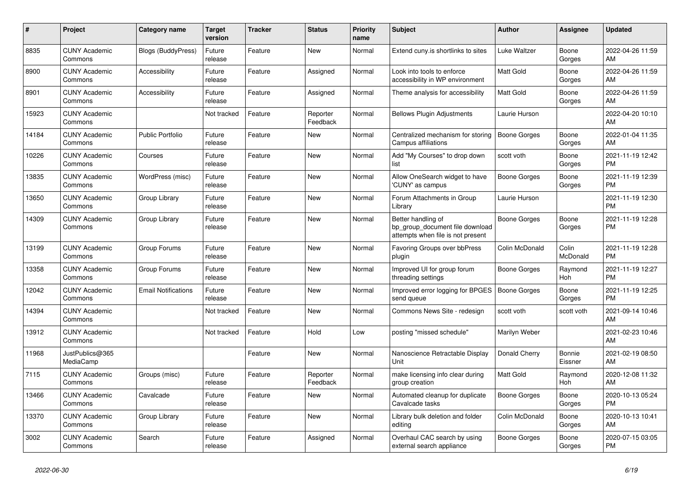| #     | <b>Project</b>                  | Category name              | Target<br>version | <b>Tracker</b> | <b>Status</b>        | <b>Priority</b><br>name | <b>Subject</b>                                                                             | <b>Author</b>       | Assignee          | <b>Updated</b>                |
|-------|---------------------------------|----------------------------|-------------------|----------------|----------------------|-------------------------|--------------------------------------------------------------------------------------------|---------------------|-------------------|-------------------------------|
| 8835  | <b>CUNY Academic</b><br>Commons | Blogs (BuddyPress)         | Future<br>release | Feature        | <b>New</b>           | Normal                  | Extend cuny.is shortlinks to sites                                                         | Luke Waltzer        | Boone<br>Gorges   | 2022-04-26 11:59<br>AM        |
| 8900  | <b>CUNY Academic</b><br>Commons | Accessibility              | Future<br>release | Feature        | Assigned             | Normal                  | Look into tools to enforce<br>accessibility in WP environment                              | Matt Gold           | Boone<br>Gorges   | 2022-04-26 11:59<br>AM.       |
| 8901  | <b>CUNY Academic</b><br>Commons | Accessibility              | Future<br>release | Feature        | Assigned             | Normal                  | Theme analysis for accessibility                                                           | Matt Gold           | Boone<br>Gorges   | 2022-04-26 11:59<br><b>AM</b> |
| 15923 | <b>CUNY Academic</b><br>Commons |                            | Not tracked       | Feature        | Reporter<br>Feedback | Normal                  | <b>Bellows Plugin Adjustments</b>                                                          | Laurie Hurson       |                   | 2022-04-20 10:10<br><b>AM</b> |
| 14184 | <b>CUNY Academic</b><br>Commons | <b>Public Portfolio</b>    | Future<br>release | Feature        | New                  | Normal                  | Centralized mechanism for storing<br>Campus affiliations                                   | <b>Boone Gorges</b> | Boone<br>Gorges   | 2022-01-04 11:35<br>AM        |
| 10226 | <b>CUNY Academic</b><br>Commons | Courses                    | Future<br>release | Feature        | New                  | Normal                  | Add "My Courses" to drop down<br>list                                                      | scott voth          | Boone<br>Gorges   | 2021-11-19 12:42<br><b>PM</b> |
| 13835 | <b>CUNY Academic</b><br>Commons | WordPress (misc)           | Future<br>release | Feature        | <b>New</b>           | Normal                  | Allow OneSearch widget to have<br>'CUNY' as campus                                         | Boone Gorges        | Boone<br>Gorges   | 2021-11-19 12:39<br><b>PM</b> |
| 13650 | <b>CUNY Academic</b><br>Commons | Group Library              | Future<br>release | Feature        | <b>New</b>           | Normal                  | Forum Attachments in Group<br>Library                                                      | Laurie Hurson       |                   | 2021-11-19 12:30<br>PM        |
| 14309 | <b>CUNY Academic</b><br>Commons | Group Library              | Future<br>release | Feature        | <b>New</b>           | Normal                  | Better handling of<br>bp_group_document file download<br>attempts when file is not present | Boone Gorges        | Boone<br>Gorges   | 2021-11-19 12:28<br><b>PM</b> |
| 13199 | <b>CUNY Academic</b><br>Commons | Group Forums               | Future<br>release | Feature        | <b>New</b>           | Normal                  | Favoring Groups over bbPress<br>plugin                                                     | Colin McDonald      | Colin<br>McDonald | 2021-11-19 12:28<br><b>PM</b> |
| 13358 | <b>CUNY Academic</b><br>Commons | Group Forums               | Future<br>release | Feature        | New                  | Normal                  | Improved UI for group forum<br>threading settings                                          | Boone Gorges        | Raymond<br>Hoh    | 2021-11-19 12:27<br><b>PM</b> |
| 12042 | <b>CUNY Academic</b><br>Commons | <b>Email Notifications</b> | Future<br>release | Feature        | New                  | Normal                  | Improved error logging for BPGES<br>send queue                                             | Boone Gorges        | Boone<br>Gorges   | 2021-11-19 12:25<br><b>PM</b> |
| 14394 | <b>CUNY Academic</b><br>Commons |                            | Not tracked       | Feature        | New                  | Normal                  | Commons News Site - redesign                                                               | scott voth          | scott voth        | 2021-09-14 10:46<br><b>AM</b> |
| 13912 | <b>CUNY Academic</b><br>Commons |                            | Not tracked       | Feature        | Hold                 | Low                     | posting "missed schedule"                                                                  | Marilyn Weber       |                   | 2021-02-23 10:46<br>AM        |
| 11968 | JustPublics@365<br>MediaCamp    |                            |                   | Feature        | New                  | Normal                  | Nanoscience Retractable Display<br>Unit                                                    | Donald Cherry       | Bonnie<br>Eissner | 2021-02-19 08:50<br>AM        |
| 7115  | <b>CUNY Academic</b><br>Commons | Groups (misc)              | Future<br>release | Feature        | Reporter<br>Feedback | Normal                  | make licensing info clear during<br>group creation                                         | Matt Gold           | Raymond<br>Hoh    | 2020-12-08 11:32<br>AM        |
| 13466 | <b>CUNY Academic</b><br>Commons | Cavalcade                  | Future<br>release | Feature        | New                  | Normal                  | Automated cleanup for duplicate<br>Cavalcade tasks                                         | Boone Gorges        | Boone<br>Gorges   | 2020-10-13 05:24<br><b>PM</b> |
| 13370 | <b>CUNY Academic</b><br>Commons | Group Library              | Future<br>release | Feature        | New                  | Normal                  | Library bulk deletion and folder<br>editing                                                | Colin McDonald      | Boone<br>Gorges   | 2020-10-13 10:41<br><b>AM</b> |
| 3002  | <b>CUNY Academic</b><br>Commons | Search                     | Future<br>release | Feature        | Assigned             | Normal                  | Overhaul CAC search by using<br>external search appliance                                  | Boone Gorges        | Boone<br>Gorges   | 2020-07-15 03:05<br>PM.       |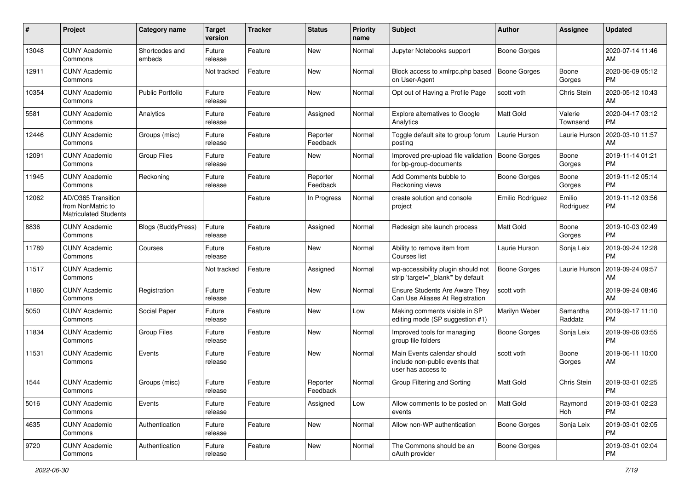| #     | Project                                                                 | <b>Category name</b>     | <b>Target</b><br>version | <b>Tracker</b> | <b>Status</b>        | Priority<br>name | <b>Subject</b>                                                                      | <b>Author</b>       | <b>Assignee</b>     | <b>Updated</b>                |
|-------|-------------------------------------------------------------------------|--------------------------|--------------------------|----------------|----------------------|------------------|-------------------------------------------------------------------------------------|---------------------|---------------------|-------------------------------|
| 13048 | <b>CUNY Academic</b><br>Commons                                         | Shortcodes and<br>embeds | Future<br>release        | Feature        | New                  | Normal           | Jupyter Notebooks support                                                           | <b>Boone Gorges</b> |                     | 2020-07-14 11:46<br>AM.       |
| 12911 | <b>CUNY Academic</b><br>Commons                                         |                          | Not tracked              | Feature        | New                  | Normal           | Block access to xmlrpc.php based<br>on User-Agent                                   | <b>Boone Gorges</b> | Boone<br>Gorges     | 2020-06-09 05:12<br><b>PM</b> |
| 10354 | <b>CUNY Academic</b><br>Commons                                         | Public Portfolio         | Future<br>release        | Feature        | New                  | Normal           | Opt out of Having a Profile Page                                                    | scott voth          | Chris Stein         | 2020-05-12 10:43<br>AM.       |
| 5581  | <b>CUNY Academic</b><br>Commons                                         | Analytics                | Future<br>release        | Feature        | Assigned             | Normal           | Explore alternatives to Google<br>Analytics                                         | Matt Gold           | Valerie<br>Townsend | 2020-04-17 03:12<br>PM.       |
| 12446 | <b>CUNY Academic</b><br>Commons                                         | Groups (misc)            | Future<br>release        | Feature        | Reporter<br>Feedback | Normal           | Toggle default site to group forum<br>posting                                       | Laurie Hurson       | Laurie Hurson       | 2020-03-10 11:57<br>AM        |
| 12091 | <b>CUNY Academic</b><br>Commons                                         | <b>Group Files</b>       | Future<br>release        | Feature        | New                  | Normal           | Improved pre-upload file validation<br>for bp-group-documents                       | Boone Gorges        | Boone<br>Gorges     | 2019-11-14 01:21<br><b>PM</b> |
| 11945 | <b>CUNY Academic</b><br>Commons                                         | Reckoning                | Future<br>release        | Feature        | Reporter<br>Feedback | Normal           | Add Comments bubble to<br>Reckoning views                                           | <b>Boone Gorges</b> | Boone<br>Gorges     | 2019-11-12 05:14<br><b>PM</b> |
| 12062 | AD/O365 Transition<br>from NonMatric to<br><b>Matriculated Students</b> |                          |                          | Feature        | In Progress          | Normal           | create solution and console<br>project                                              | Emilio Rodriguez    | Emilio<br>Rodriguez | 2019-11-12 03:56<br>PM.       |
| 8836  | <b>CUNY Academic</b><br>Commons                                         | Blogs (BuddyPress)       | Future<br>release        | Feature        | Assigned             | Normal           | Redesign site launch process                                                        | <b>Matt Gold</b>    | Boone<br>Gorges     | 2019-10-03 02:49<br><b>PM</b> |
| 11789 | <b>CUNY Academic</b><br>Commons                                         | Courses                  | Future<br>release        | Feature        | New                  | Normal           | Ability to remove item from<br>Courses list                                         | Laurie Hurson       | Sonja Leix          | 2019-09-24 12:28<br><b>PM</b> |
| 11517 | <b>CUNY Academic</b><br>Commons                                         |                          | Not tracked              | Feature        | Assigned             | Normal           | wp-accessibility plugin should not<br>strip 'target="_blank"' by default            | Boone Gorges        | Laurie Hurson       | 2019-09-24 09:57<br>AM        |
| 11860 | <b>CUNY Academic</b><br>Commons                                         | Registration             | Future<br>release        | Feature        | New                  | Normal           | <b>Ensure Students Are Aware They</b><br>Can Use Aliases At Registration            | scott voth          |                     | 2019-09-24 08:46<br>AM        |
| 5050  | <b>CUNY Academic</b><br>Commons                                         | Social Paper             | Future<br>release        | Feature        | <b>New</b>           | Low              | Making comments visible in SP<br>editing mode (SP suggestion #1)                    | Marilyn Weber       | Samantha<br>Raddatz | 2019-09-17 11:10<br><b>PM</b> |
| 11834 | <b>CUNY Academic</b><br>Commons                                         | <b>Group Files</b>       | Future<br>release        | Feature        | New                  | Normal           | Improved tools for managing<br>group file folders                                   | Boone Gorges        | Sonja Leix          | 2019-09-06 03:55<br><b>PM</b> |
| 11531 | <b>CUNY Academic</b><br>Commons                                         | Events                   | Future<br>release        | Feature        | New                  | Normal           | Main Events calendar should<br>include non-public events that<br>user has access to | scott voth          | Boone<br>Gorges     | 2019-06-11 10:00<br>AM        |
| 1544  | <b>CUNY Academic</b><br>Commons                                         | Groups (misc)            | Future<br>release        | Feature        | Reporter<br>Feedback | Normal           | Group Filtering and Sorting                                                         | <b>Matt Gold</b>    | Chris Stein         | 2019-03-01 02:25<br><b>PM</b> |
| 5016  | <b>CUNY Academic</b><br>Commons                                         | Events                   | Future<br>release        | Feature        | Assigned             | Low              | Allow comments to be posted on<br>events                                            | Matt Gold           | Raymond<br>Hoh      | 2019-03-01 02:23<br>PM.       |
| 4635  | <b>CUNY Academic</b><br>Commons                                         | Authentication           | Future<br>release        | Feature        | New                  | Normal           | Allow non-WP authentication                                                         | <b>Boone Gorges</b> | Sonja Leix          | 2019-03-01 02:05<br><b>PM</b> |
| 9720  | <b>CUNY Academic</b><br>Commons                                         | Authentication           | Future<br>release        | Feature        | New                  | Normal           | The Commons should be an<br>oAuth provider                                          | Boone Gorges        |                     | 2019-03-01 02:04<br><b>PM</b> |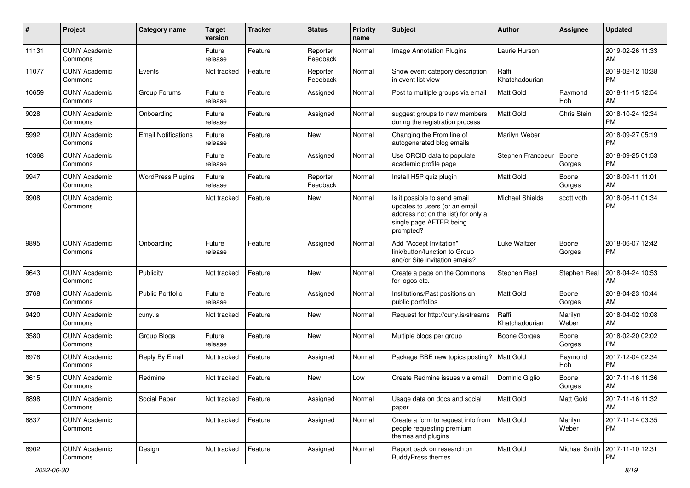| #     | Project                         | Category name              | <b>Target</b><br>version | Tracker | <b>Status</b>        | <b>Priority</b><br>name | Subject                                                                                                                                      | Author                  | <b>Assignee</b>  | <b>Updated</b>                |
|-------|---------------------------------|----------------------------|--------------------------|---------|----------------------|-------------------------|----------------------------------------------------------------------------------------------------------------------------------------------|-------------------------|------------------|-------------------------------|
| 11131 | <b>CUNY Academic</b><br>Commons |                            | Future<br>release        | Feature | Reporter<br>Feedback | Normal                  | Image Annotation Plugins                                                                                                                     | Laurie Hurson           |                  | 2019-02-26 11:33<br>AM        |
| 11077 | <b>CUNY Academic</b><br>Commons | Events                     | Not tracked              | Feature | Reporter<br>Feedback | Normal                  | Show event category description<br>in event list view                                                                                        | Raffi<br>Khatchadourian |                  | 2019-02-12 10:38<br><b>PM</b> |
| 10659 | <b>CUNY Academic</b><br>Commons | Group Forums               | Future<br>release        | Feature | Assigned             | Normal                  | Post to multiple groups via email                                                                                                            | Matt Gold               | Raymond<br>Hoh   | 2018-11-15 12:54<br>AM        |
| 9028  | <b>CUNY Academic</b><br>Commons | Onboarding                 | Future<br>release        | Feature | Assigned             | Normal                  | suggest groups to new members<br>during the registration process                                                                             | <b>Matt Gold</b>        | Chris Stein      | 2018-10-24 12:34<br><b>PM</b> |
| 5992  | <b>CUNY Academic</b><br>Commons | <b>Email Notifications</b> | Future<br>release        | Feature | New                  | Normal                  | Changing the From line of<br>autogenerated blog emails                                                                                       | Marilyn Weber           |                  | 2018-09-27 05:19<br><b>PM</b> |
| 10368 | <b>CUNY Academic</b><br>Commons |                            | Future<br>release        | Feature | Assigned             | Normal                  | Use ORCID data to populate<br>academic profile page                                                                                          | Stephen Francoeur       | Boone<br>Gorges  | 2018-09-25 01:53<br><b>PM</b> |
| 9947  | <b>CUNY Academic</b><br>Commons | <b>WordPress Plugins</b>   | Future<br>release        | Feature | Reporter<br>Feedback | Normal                  | Install H5P quiz plugin                                                                                                                      | <b>Matt Gold</b>        | Boone<br>Gorges  | 2018-09-11 11:01<br>AM        |
| 9908  | <b>CUNY Academic</b><br>Commons |                            | Not tracked              | Feature | New                  | Normal                  | Is it possible to send email<br>updates to users (or an email<br>address not on the list) for only a<br>single page AFTER being<br>prompted? | <b>Michael Shields</b>  | scott voth       | 2018-06-11 01:34<br><b>PM</b> |
| 9895  | <b>CUNY Academic</b><br>Commons | Onboarding                 | Future<br>release        | Feature | Assigned             | Normal                  | Add "Accept Invitation"<br>link/button/function to Group<br>and/or Site invitation emails?                                                   | Luke Waltzer            | Boone<br>Gorges  | 2018-06-07 12:42<br><b>PM</b> |
| 9643  | <b>CUNY Academic</b><br>Commons | Publicity                  | Not tracked              | Feature | New                  | Normal                  | Create a page on the Commons<br>for logos etc.                                                                                               | Stephen Real            | Stephen Real     | 2018-04-24 10:53<br>AM        |
| 3768  | <b>CUNY Academic</b><br>Commons | <b>Public Portfolio</b>    | Future<br>release        | Feature | Assigned             | Normal                  | Institutions/Past positions on<br>public portfolios                                                                                          | <b>Matt Gold</b>        | Boone<br>Gorges  | 2018-04-23 10:44<br>AM        |
| 9420  | <b>CUNY Academic</b><br>Commons | cuny.is                    | Not tracked              | Feature | New                  | Normal                  | Request for http://cuny.is/streams                                                                                                           | Raffi<br>Khatchadourian | Marilyn<br>Weber | 2018-04-02 10:08<br>AM        |
| 3580  | <b>CUNY Academic</b><br>Commons | Group Blogs                | Future<br>release        | Feature | New                  | Normal                  | Multiple blogs per group                                                                                                                     | Boone Gorges            | Boone<br>Gorges  | 2018-02-20 02:02<br><b>PM</b> |
| 8976  | <b>CUNY Academic</b><br>Commons | Reply By Email             | Not tracked              | Feature | Assigned             | Normal                  | Package RBE new topics posting?                                                                                                              | Matt Gold               | Raymond<br>Hoh   | 2017-12-04 02:34<br><b>PM</b> |
| 3615  | <b>CUNY Academic</b><br>Commons | Redmine                    | Not tracked              | Feature | New                  | Low                     | Create Redmine issues via email                                                                                                              | Dominic Giglio          | Boone<br>Gorges  | 2017-11-16 11:36<br>AM        |
| 8898  | <b>CUNY Academic</b><br>Commons | Social Paper               | Not tracked              | Feature | Assigned             | Normal                  | Usage data on docs and social<br>paper                                                                                                       | Matt Gold               | Matt Gold        | 2017-11-16 11:32<br>AM        |
| 8837  | <b>CUNY Academic</b><br>Commons |                            | Not tracked              | Feature | Assigned             | Normal                  | Create a form to request info from<br>people requesting premium<br>themes and plugins                                                        | Matt Gold               | Marilyn<br>Weber | 2017-11-14 03:35<br><b>PM</b> |
| 8902  | <b>CUNY Academic</b><br>Commons | Design                     | Not tracked              | Feature | Assigned             | Normal                  | Report back on research on<br><b>BuddyPress themes</b>                                                                                       | Matt Gold               | Michael Smith    | 2017-11-10 12:31<br>PM        |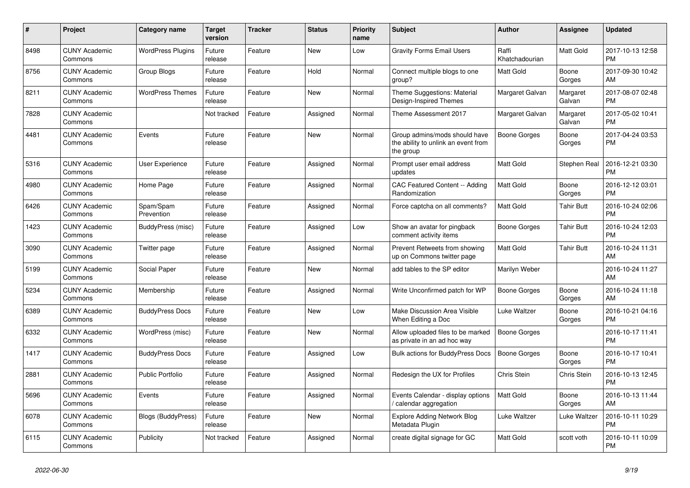| $\#$ | Project                         | <b>Category name</b>      | <b>Target</b><br>version | <b>Tracker</b> | <b>Status</b> | <b>Priority</b><br>name | <b>Subject</b>                                                                    | <b>Author</b>           | Assignee           | <b>Updated</b>                |
|------|---------------------------------|---------------------------|--------------------------|----------------|---------------|-------------------------|-----------------------------------------------------------------------------------|-------------------------|--------------------|-------------------------------|
| 8498 | <b>CUNY Academic</b><br>Commons | <b>WordPress Plugins</b>  | Future<br>release        | Feature        | <b>New</b>    | Low                     | <b>Gravity Forms Email Users</b>                                                  | Raffi<br>Khatchadourian | Matt Gold          | 2017-10-13 12:58<br><b>PM</b> |
| 8756 | <b>CUNY Academic</b><br>Commons | Group Blogs               | Future<br>release        | Feature        | Hold          | Normal                  | Connect multiple blogs to one<br>group?                                           | Matt Gold               | Boone<br>Gorges    | 2017-09-30 10:42<br>AM        |
| 8211 | <b>CUNY Academic</b><br>Commons | <b>WordPress Themes</b>   | Future<br>release        | Feature        | New           | Normal                  | Theme Suggestions: Material<br>Design-Inspired Themes                             | Margaret Galvan         | Margaret<br>Galvan | 2017-08-07 02:48<br><b>PM</b> |
| 7828 | <b>CUNY Academic</b><br>Commons |                           | Not tracked              | Feature        | Assigned      | Normal                  | Theme Assessment 2017                                                             | Margaret Galvan         | Margaret<br>Galvan | 2017-05-02 10:41<br><b>PM</b> |
| 4481 | <b>CUNY Academic</b><br>Commons | Events                    | Future<br>release        | Feature        | <b>New</b>    | Normal                  | Group admins/mods should have<br>the ability to unlink an event from<br>the group | Boone Gorges            | Boone<br>Gorges    | 2017-04-24 03:53<br><b>PM</b> |
| 5316 | <b>CUNY Academic</b><br>Commons | User Experience           | Future<br>release        | Feature        | Assigned      | Normal                  | Prompt user email address<br>updates                                              | <b>Matt Gold</b>        | Stephen Real       | 2016-12-21 03:30<br><b>PM</b> |
| 4980 | <b>CUNY Academic</b><br>Commons | Home Page                 | Future<br>release        | Feature        | Assigned      | Normal                  | CAC Featured Content -- Adding<br>Randomization                                   | <b>Matt Gold</b>        | Boone<br>Gorges    | 2016-12-12 03:01<br><b>PM</b> |
| 6426 | <b>CUNY Academic</b><br>Commons | Spam/Spam<br>Prevention   | Future<br>release        | Feature        | Assigned      | Normal                  | Force captcha on all comments?                                                    | Matt Gold               | Tahir Butt         | 2016-10-24 02:06<br><b>PM</b> |
| 1423 | <b>CUNY Academic</b><br>Commons | BuddyPress (misc)         | Future<br>release        | Feature        | Assigned      | Low                     | Show an avatar for pingback<br>comment activity items                             | Boone Gorges            | <b>Tahir Butt</b>  | 2016-10-24 12:03<br><b>PM</b> |
| 3090 | <b>CUNY Academic</b><br>Commons | Twitter page              | Future<br>release        | Feature        | Assigned      | Normal                  | Prevent Retweets from showing<br>up on Commons twitter page                       | <b>Matt Gold</b>        | <b>Tahir Butt</b>  | 2016-10-24 11:31<br>AM        |
| 5199 | <b>CUNY Academic</b><br>Commons | Social Paper              | Future<br>release        | Feature        | <b>New</b>    | Normal                  | add tables to the SP editor                                                       | Marilyn Weber           |                    | 2016-10-24 11:27<br>AM        |
| 5234 | <b>CUNY Academic</b><br>Commons | Membership                | Future<br>release        | Feature        | Assigned      | Normal                  | Write Unconfirmed patch for WP                                                    | Boone Gorges            | Boone<br>Gorges    | 2016-10-24 11:18<br>AM        |
| 6389 | <b>CUNY Academic</b><br>Commons | <b>BuddyPress Docs</b>    | Future<br>release        | Feature        | <b>New</b>    | Low                     | Make Discussion Area Visible<br>When Editing a Doc                                | Luke Waltzer            | Boone<br>Gorges    | 2016-10-21 04:16<br><b>PM</b> |
| 6332 | <b>CUNY Academic</b><br>Commons | WordPress (misc)          | Future<br>release        | Feature        | <b>New</b>    | Normal                  | Allow uploaded files to be marked<br>as private in an ad hoc way                  | <b>Boone Gorges</b>     |                    | 2016-10-17 11:41<br><b>PM</b> |
| 1417 | <b>CUNY Academic</b><br>Commons | <b>BuddyPress Docs</b>    | Future<br>release        | Feature        | Assigned      | Low                     | <b>Bulk actions for BuddyPress Docs</b>                                           | Boone Gorges            | Boone<br>Gorges    | 2016-10-17 10:41<br><b>PM</b> |
| 2881 | <b>CUNY Academic</b><br>Commons | <b>Public Portfolio</b>   | Future<br>release        | Feature        | Assigned      | Normal                  | Redesign the UX for Profiles                                                      | Chris Stein             | Chris Stein        | 2016-10-13 12:45<br><b>PM</b> |
| 5696 | <b>CUNY Academic</b><br>Commons | Events                    | Future<br>release        | Feature        | Assigned      | Normal                  | Events Calendar - display options<br>calendar aggregation                         | <b>Matt Gold</b>        | Boone<br>Gorges    | 2016-10-13 11:44<br>AM        |
| 6078 | <b>CUNY Academic</b><br>Commons | <b>Blogs (BuddyPress)</b> | Future<br>release        | Feature        | New           | Normal                  | <b>Explore Adding Network Blog</b><br>Metadata Plugin                             | Luke Waltzer            | Luke Waltzer       | 2016-10-11 10:29<br><b>PM</b> |
| 6115 | <b>CUNY Academic</b><br>Commons | Publicity                 | Not tracked              | Feature        | Assigned      | Normal                  | create digital signage for GC                                                     | Matt Gold               | scott voth         | 2016-10-11 10:09<br><b>PM</b> |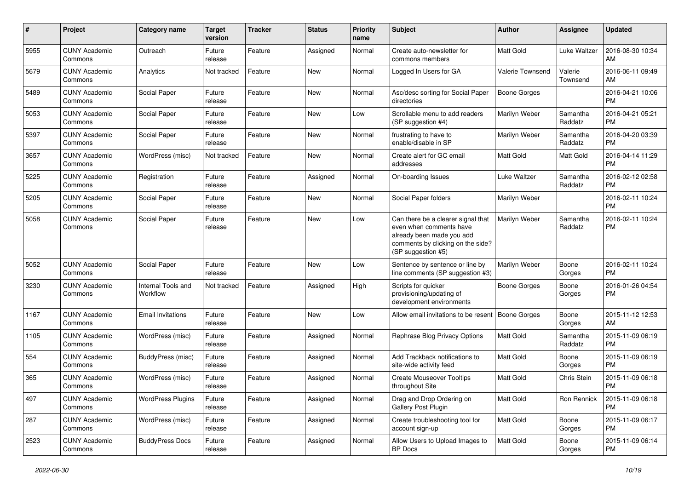| #    | Project                         | <b>Category name</b>           | <b>Target</b><br>version | <b>Tracker</b> | <b>Status</b> | Priority<br>name | <b>Subject</b>                                                                                                                                        | Author              | <b>Assignee</b>     | <b>Updated</b>                |
|------|---------------------------------|--------------------------------|--------------------------|----------------|---------------|------------------|-------------------------------------------------------------------------------------------------------------------------------------------------------|---------------------|---------------------|-------------------------------|
| 5955 | <b>CUNY Academic</b><br>Commons | Outreach                       | Future<br>release        | Feature        | Assigned      | Normal           | Create auto-newsletter for<br>commons members                                                                                                         | <b>Matt Gold</b>    | <b>Luke Waltzer</b> | 2016-08-30 10:34<br>AM        |
| 5679 | <b>CUNY Academic</b><br>Commons | Analytics                      | Not tracked              | Feature        | New           | Normal           | Logged In Users for GA                                                                                                                                | Valerie Townsend    | Valerie<br>Townsend | 2016-06-11 09:49<br>AM        |
| 5489 | <b>CUNY Academic</b><br>Commons | Social Paper                   | Future<br>release        | Feature        | New           | Normal           | Asc/desc sorting for Social Paper<br>directories                                                                                                      | Boone Gorges        |                     | 2016-04-21 10:06<br><b>PM</b> |
| 5053 | <b>CUNY Academic</b><br>Commons | Social Paper                   | Future<br>release        | Feature        | <b>New</b>    | Low              | Scrollable menu to add readers<br>(SP suggestion #4)                                                                                                  | Marilyn Weber       | Samantha<br>Raddatz | 2016-04-21 05:21<br><b>PM</b> |
| 5397 | <b>CUNY Academic</b><br>Commons | Social Paper                   | Future<br>release        | Feature        | <b>New</b>    | Normal           | frustrating to have to<br>enable/disable in SP                                                                                                        | Marilyn Weber       | Samantha<br>Raddatz | 2016-04-20 03:39<br><b>PM</b> |
| 3657 | <b>CUNY Academic</b><br>Commons | WordPress (misc)               | Not tracked              | Feature        | New           | Normal           | Create alert for GC email<br>addresses                                                                                                                | <b>Matt Gold</b>    | Matt Gold           | 2016-04-14 11:29<br><b>PM</b> |
| 5225 | <b>CUNY Academic</b><br>Commons | Registration                   | Future<br>release        | Feature        | Assigned      | Normal           | On-boarding Issues                                                                                                                                    | Luke Waltzer        | Samantha<br>Raddatz | 2016-02-12 02:58<br><b>PM</b> |
| 5205 | <b>CUNY Academic</b><br>Commons | Social Paper                   | Future<br>release        | Feature        | <b>New</b>    | Normal           | Social Paper folders                                                                                                                                  | Marilyn Weber       |                     | 2016-02-11 10:24<br><b>PM</b> |
| 5058 | <b>CUNY Academic</b><br>Commons | Social Paper                   | Future<br>release        | Feature        | New           | Low              | Can there be a clearer signal that<br>even when comments have<br>already been made you add<br>comments by clicking on the side?<br>(SP suggestion #5) | Marilyn Weber       | Samantha<br>Raddatz | 2016-02-11 10:24<br><b>PM</b> |
| 5052 | <b>CUNY Academic</b><br>Commons | Social Paper                   | Future<br>release        | Feature        | <b>New</b>    | Low              | Sentence by sentence or line by<br>line comments (SP suggestion #3)                                                                                   | Marilyn Weber       | Boone<br>Gorges     | 2016-02-11 10:24<br><b>PM</b> |
| 3230 | <b>CUNY Academic</b><br>Commons | Internal Tools and<br>Workflow | Not tracked              | Feature        | Assigned      | High             | Scripts for quicker<br>provisioning/updating of<br>development environments                                                                           | <b>Boone Gorges</b> | Boone<br>Gorges     | 2016-01-26 04:54<br><b>PM</b> |
| 1167 | <b>CUNY Academic</b><br>Commons | <b>Email Invitations</b>       | Future<br>release        | Feature        | <b>New</b>    | Low              | Allow email invitations to be resent                                                                                                                  | <b>Boone Gorges</b> | Boone<br>Gorges     | 2015-11-12 12:53<br>AM        |
| 1105 | <b>CUNY Academic</b><br>Commons | WordPress (misc)               | Future<br>release        | Feature        | Assigned      | Normal           | Rephrase Blog Privacy Options                                                                                                                         | <b>Matt Gold</b>    | Samantha<br>Raddatz | 2015-11-09 06:19<br><b>PM</b> |
| 554  | <b>CUNY Academic</b><br>Commons | BuddyPress (misc)              | Future<br>release        | Feature        | Assigned      | Normal           | Add Trackback notifications to<br>site-wide activity feed                                                                                             | <b>Matt Gold</b>    | Boone<br>Gorges     | 2015-11-09 06:19<br><b>PM</b> |
| 365  | <b>CUNY Academic</b><br>Commons | WordPress (misc)               | Future<br>release        | Feature        | Assigned      | Normal           | <b>Create Mouseover Tooltips</b><br>throughout Site                                                                                                   | Matt Gold           | Chris Stein         | 2015-11-09 06:18<br><b>PM</b> |
| 497  | <b>CUNY Academic</b><br>Commons | <b>WordPress Plugins</b>       | Future<br>release        | Feature        | Assigned      | Normal           | Drag and Drop Ordering on<br>Gallery Post Plugin                                                                                                      | Matt Gold           | Ron Rennick         | 2015-11-09 06:18<br><b>PM</b> |
| 287  | <b>CUNY Academic</b><br>Commons | WordPress (misc)               | Future<br>release        | Feature        | Assigned      | Normal           | Create troubleshooting tool for<br>account sign-up                                                                                                    | Matt Gold           | Boone<br>Gorges     | 2015-11-09 06:17<br><b>PM</b> |
| 2523 | <b>CUNY Academic</b><br>Commons | <b>BuddyPress Docs</b>         | Future<br>release        | Feature        | Assigned      | Normal           | Allow Users to Upload Images to<br>BP Docs                                                                                                            | Matt Gold           | Boone<br>Gorges     | 2015-11-09 06:14<br>PM        |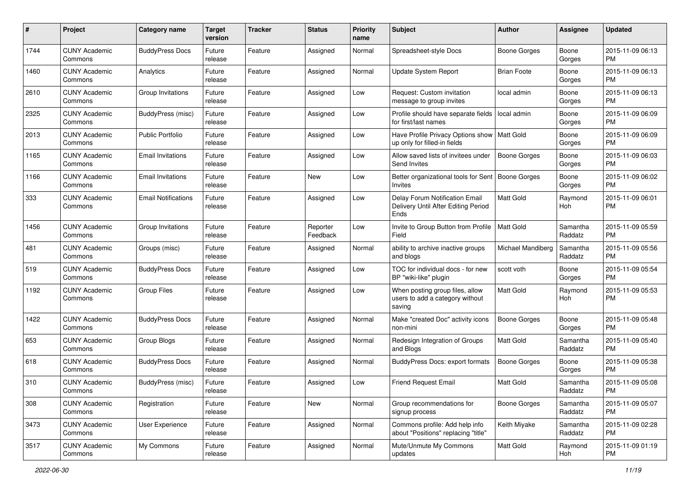| #    | Project                         | <b>Category name</b>       | <b>Target</b><br>version | <b>Tracker</b> | <b>Status</b>        | Priority<br>name | <b>Subject</b>                                                                | <b>Author</b>       | <b>Assignee</b>     | <b>Updated</b>                |
|------|---------------------------------|----------------------------|--------------------------|----------------|----------------------|------------------|-------------------------------------------------------------------------------|---------------------|---------------------|-------------------------------|
| 1744 | <b>CUNY Academic</b><br>Commons | <b>BuddyPress Docs</b>     | Future<br>release        | Feature        | Assigned             | Normal           | Spreadsheet-style Docs                                                        | <b>Boone Gorges</b> | Boone<br>Gorges     | 2015-11-09 06:13<br><b>PM</b> |
| 1460 | <b>CUNY Academic</b><br>Commons | Analytics                  | Future<br>release        | Feature        | Assigned             | Normal           | <b>Update System Report</b>                                                   | <b>Brian Foote</b>  | Boone<br>Gorges     | 2015-11-09 06:13<br><b>PM</b> |
| 2610 | <b>CUNY Academic</b><br>Commons | Group Invitations          | Future<br>release        | Feature        | Assigned             | Low              | Request: Custom invitation<br>message to group invites                        | local admin         | Boone<br>Gorges     | 2015-11-09 06:13<br><b>PM</b> |
| 2325 | <b>CUNY Academic</b><br>Commons | <b>BuddyPress</b> (misc)   | Future<br>release        | Feature        | Assigned             | Low              | Profile should have separate fields<br>for first/last names                   | local admin         | Boone<br>Gorges     | 2015-11-09 06:09<br>PM.       |
| 2013 | <b>CUNY Academic</b><br>Commons | <b>Public Portfolio</b>    | Future<br>release        | Feature        | Assigned             | Low              | Have Profile Privacy Options show<br>up only for filled-in fields             | Matt Gold           | Boone<br>Gorges     | 2015-11-09 06:09<br><b>PM</b> |
| 1165 | <b>CUNY Academic</b><br>Commons | <b>Email Invitations</b>   | Future<br>release        | Feature        | Assigned             | Low              | Allow saved lists of invitees under<br>Send Invites                           | <b>Boone Gorges</b> | Boone<br>Gorges     | 2015-11-09 06:03<br><b>PM</b> |
| 1166 | <b>CUNY Academic</b><br>Commons | <b>Email Invitations</b>   | Future<br>release        | Feature        | New                  | Low              | Better organizational tools for Sent<br>Invites                               | Boone Gorges        | Boone<br>Gorges     | 2015-11-09 06:02<br>PM.       |
| 333  | <b>CUNY Academic</b><br>Commons | <b>Email Notifications</b> | Future<br>release        | Feature        | Assigned             | Low              | Delay Forum Notification Email<br>Delivery Until After Editing Period<br>Ends | <b>Matt Gold</b>    | Raymond<br>Hoh      | 2015-11-09 06:01<br>PM.       |
| 1456 | <b>CUNY Academic</b><br>Commons | Group Invitations          | Future<br>release        | Feature        | Reporter<br>Feedback | Low              | Invite to Group Button from Profile<br>Field                                  | <b>Matt Gold</b>    | Samantha<br>Raddatz | 2015-11-09 05:59<br><b>PM</b> |
| 481  | <b>CUNY Academic</b><br>Commons | Groups (misc)              | Future<br>release        | Feature        | Assigned             | Normal           | ability to archive inactive groups<br>and blogs                               | Michael Mandiberg   | Samantha<br>Raddatz | 2015-11-09 05:56<br><b>PM</b> |
| 519  | <b>CUNY Academic</b><br>Commons | <b>BuddyPress Docs</b>     | Future<br>release        | Feature        | Assigned             | Low              | TOC for individual docs - for new<br>BP "wiki-like" plugin                    | scott voth          | Boone<br>Gorges     | 2015-11-09 05:54<br><b>PM</b> |
| 1192 | <b>CUNY Academic</b><br>Commons | <b>Group Files</b>         | Future<br>release        | Feature        | Assigned             | Low              | When posting group files, allow<br>users to add a category without<br>saving  | <b>Matt Gold</b>    | Raymond<br>Hoh      | 2015-11-09 05:53<br>PM.       |
| 1422 | <b>CUNY Academic</b><br>Commons | <b>BuddyPress Docs</b>     | Future<br>release        | Feature        | Assigned             | Normal           | Make "created Doc" activity icons<br>non-mini                                 | Boone Gorges        | Boone<br>Gorges     | 2015-11-09 05:48<br>PM.       |
| 653  | <b>CUNY Academic</b><br>Commons | Group Blogs                | Future<br>release        | Feature        | Assigned             | Normal           | Redesign Integration of Groups<br>and Blogs                                   | <b>Matt Gold</b>    | Samantha<br>Raddatz | 2015-11-09 05:40<br><b>PM</b> |
| 618  | <b>CUNY Academic</b><br>Commons | <b>BuddyPress Docs</b>     | Future<br>release        | Feature        | Assigned             | Normal           | BuddyPress Docs: export formats                                               | Boone Gorges        | Boone<br>Gorges     | 2015-11-09 05:38<br><b>PM</b> |
| 310  | <b>CUNY Academic</b><br>Commons | <b>BuddyPress (misc)</b>   | Future<br>release        | Feature        | Assigned             | LOW              | <b>Friend Request Email</b>                                                   | Matt Gold           | Samantha<br>Raddatz | 2015-11-09 05:08<br>PM        |
| 308  | <b>CUNY Academic</b><br>Commons | Registration               | Future<br>release        | Feature        | New                  | Normal           | Group recommendations for<br>signup process                                   | <b>Boone Gorges</b> | Samantha<br>Raddatz | 2015-11-09 05:07<br>PM        |
| 3473 | <b>CUNY Academic</b><br>Commons | User Experience            | Future<br>release        | Feature        | Assigned             | Normal           | Commons profile: Add help info<br>about "Positions" replacing "title"         | Keith Miyake        | Samantha<br>Raddatz | 2015-11-09 02:28<br><b>PM</b> |
| 3517 | <b>CUNY Academic</b><br>Commons | My Commons                 | Future<br>release        | Feature        | Assigned             | Normal           | Mute/Unmute My Commons<br>updates                                             | Matt Gold           | Raymond<br>Hoh      | 2015-11-09 01:19<br><b>PM</b> |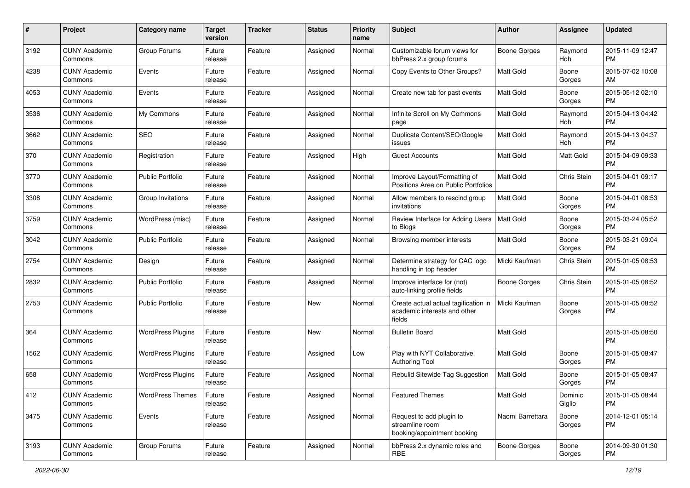| #    | Project                         | <b>Category name</b>     | <b>Target</b><br>version | <b>Tracker</b> | <b>Status</b> | <b>Priority</b><br>name | <b>Subject</b>                                                                 | Author           | <b>Assignee</b>   | <b>Updated</b>                |
|------|---------------------------------|--------------------------|--------------------------|----------------|---------------|-------------------------|--------------------------------------------------------------------------------|------------------|-------------------|-------------------------------|
| 3192 | <b>CUNY Academic</b><br>Commons | Group Forums             | Future<br>release        | Feature        | Assigned      | Normal                  | Customizable forum views for<br>bbPress 2.x group forums                       | Boone Gorges     | Raymond<br>Hoh    | 2015-11-09 12:47<br>PM.       |
| 4238 | <b>CUNY Academic</b><br>Commons | Events                   | Future<br>release        | Feature        | Assigned      | Normal                  | Copy Events to Other Groups?                                                   | <b>Matt Gold</b> | Boone<br>Gorges   | 2015-07-02 10:08<br>AM        |
| 4053 | <b>CUNY Academic</b><br>Commons | Events                   | Future<br>release        | Feature        | Assigned      | Normal                  | Create new tab for past events                                                 | Matt Gold        | Boone<br>Gorges   | 2015-05-12 02:10<br><b>PM</b> |
| 3536 | <b>CUNY Academic</b><br>Commons | My Commons               | Future<br>release        | Feature        | Assigned      | Normal                  | Infinite Scroll on My Commons<br>page                                          | <b>Matt Gold</b> | Raymond<br>Hoh    | 2015-04-13 04:42<br><b>PM</b> |
| 3662 | <b>CUNY Academic</b><br>Commons | <b>SEO</b>               | Future<br>release        | Feature        | Assigned      | Normal                  | Duplicate Content/SEO/Google<br>issues                                         | <b>Matt Gold</b> | Raymond<br>Hoh    | 2015-04-13 04:37<br><b>PM</b> |
| 370  | <b>CUNY Academic</b><br>Commons | Registration             | Future<br>release        | Feature        | Assigned      | High                    | Guest Accounts                                                                 | <b>Matt Gold</b> | Matt Gold         | 2015-04-09 09:33<br><b>PM</b> |
| 3770 | <b>CUNY Academic</b><br>Commons | <b>Public Portfolio</b>  | Future<br>release        | Feature        | Assigned      | Normal                  | Improve Layout/Formatting of<br>Positions Area on Public Portfolios            | <b>Matt Gold</b> | Chris Stein       | 2015-04-01 09:17<br><b>PM</b> |
| 3308 | <b>CUNY Academic</b><br>Commons | Group Invitations        | Future<br>release        | Feature        | Assigned      | Normal                  | Allow members to rescind group<br>invitations                                  | Matt Gold        | Boone<br>Gorges   | 2015-04-01 08:53<br>PM.       |
| 3759 | <b>CUNY Academic</b><br>Commons | WordPress (misc)         | Future<br>release        | Feature        | Assigned      | Normal                  | Review Interface for Adding Users<br>to Blogs                                  | Matt Gold        | Boone<br>Gorges   | 2015-03-24 05:52<br><b>PM</b> |
| 3042 | <b>CUNY Academic</b><br>Commons | <b>Public Portfolio</b>  | Future<br>release        | Feature        | Assigned      | Normal                  | Browsing member interests                                                      | Matt Gold        | Boone<br>Gorges   | 2015-03-21 09:04<br><b>PM</b> |
| 2754 | <b>CUNY Academic</b><br>Commons | Design                   | Future<br>release        | Feature        | Assigned      | Normal                  | Determine strategy for CAC logo<br>handling in top header                      | Micki Kaufman    | Chris Stein       | 2015-01-05 08:53<br><b>PM</b> |
| 2832 | <b>CUNY Academic</b><br>Commons | <b>Public Portfolio</b>  | Future<br>release        | Feature        | Assigned      | Normal                  | Improve interface for (not)<br>auto-linking profile fields                     | Boone Gorges     | Chris Stein       | 2015-01-05 08:52<br><b>PM</b> |
| 2753 | <b>CUNY Academic</b><br>Commons | <b>Public Portfolio</b>  | Future<br>release        | Feature        | New           | Normal                  | Create actual actual tagification in<br>academic interests and other<br>fields | Micki Kaufman    | Boone<br>Gorges   | 2015-01-05 08:52<br><b>PM</b> |
| 364  | <b>CUNY Academic</b><br>Commons | <b>WordPress Plugins</b> | Future<br>release        | Feature        | New           | Normal                  | <b>Bulletin Board</b>                                                          | <b>Matt Gold</b> |                   | 2015-01-05 08:50<br><b>PM</b> |
| 1562 | <b>CUNY Academic</b><br>Commons | <b>WordPress Plugins</b> | Future<br>release        | Feature        | Assigned      | Low                     | Play with NYT Collaborative<br>Authoring Tool                                  | Matt Gold        | Boone<br>Gorges   | 2015-01-05 08:47<br><b>PM</b> |
| 658  | <b>CUNY Academic</b><br>Commons | <b>WordPress Plugins</b> | Future<br>release        | Feature        | Assigned      | Normal                  | Rebulid Sitewide Tag Suggestion                                                | <b>Matt Gold</b> | Boone<br>Gorges   | 2015-01-05 08:47<br><b>PM</b> |
| 412  | <b>CUNY Academic</b><br>Commons | <b>WordPress Themes</b>  | Future<br>release        | Feature        | Assigned      | Normal                  | <b>Featured Themes</b>                                                         | Matt Gold        | Dominic<br>Giglio | 2015-01-05 08:44<br>PM        |
| 3475 | <b>CUNY Academic</b><br>Commons | Events                   | Future<br>release        | Feature        | Assigned      | Normal                  | Request to add plugin to<br>streamline room<br>booking/appointment booking     | Naomi Barrettara | Boone<br>Gorges   | 2014-12-01 05:14<br>PM        |
| 3193 | <b>CUNY Academic</b><br>Commons | Group Forums             | Future<br>release        | Feature        | Assigned      | Normal                  | bbPress 2.x dynamic roles and<br>RBE                                           | Boone Gorges     | Boone<br>Gorges   | 2014-09-30 01:30<br><b>PM</b> |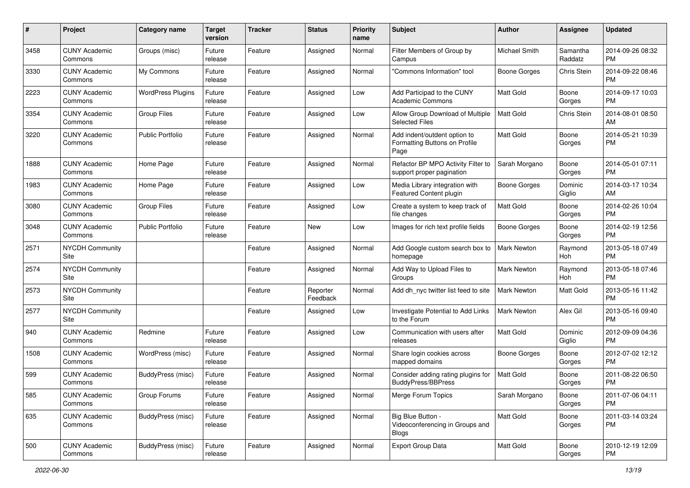| #    | Project                         | <b>Category name</b>     | <b>Target</b><br>version | <b>Tracker</b> | <b>Status</b>        | <b>Priority</b><br>name | <b>Subject</b>                                                        | Author              | <b>Assignee</b>     | <b>Updated</b>                |
|------|---------------------------------|--------------------------|--------------------------|----------------|----------------------|-------------------------|-----------------------------------------------------------------------|---------------------|---------------------|-------------------------------|
| 3458 | <b>CUNY Academic</b><br>Commons | Groups (misc)            | Future<br>release        | Feature        | Assigned             | Normal                  | Filter Members of Group by<br>Campus                                  | Michael Smith       | Samantha<br>Raddatz | 2014-09-26 08:32<br>PM.       |
| 3330 | <b>CUNY Academic</b><br>Commons | My Commons               | Future<br>release        | Feature        | Assigned             | Normal                  | "Commons Information" tool                                            | <b>Boone Gorges</b> | Chris Stein         | 2014-09-22 08:46<br><b>PM</b> |
| 2223 | <b>CUNY Academic</b><br>Commons | <b>WordPress Plugins</b> | Future<br>release        | Feature        | Assigned             | Low                     | Add Participad to the CUNY<br><b>Academic Commons</b>                 | Matt Gold           | Boone<br>Gorges     | 2014-09-17 10:03<br><b>PM</b> |
| 3354 | <b>CUNY Academic</b><br>Commons | <b>Group Files</b>       | Future<br>release        | Feature        | Assigned             | Low                     | Allow Group Download of Multiple<br><b>Selected Files</b>             | <b>Matt Gold</b>    | Chris Stein         | 2014-08-01 08:50<br>AM        |
| 3220 | <b>CUNY Academic</b><br>Commons | <b>Public Portfolio</b>  | Future<br>release        | Feature        | Assigned             | Normal                  | Add indent/outdent option to<br>Formatting Buttons on Profile<br>Page | <b>Matt Gold</b>    | Boone<br>Gorges     | 2014-05-21 10:39<br>PM        |
| 1888 | <b>CUNY Academic</b><br>Commons | Home Page                | Future<br>release        | Feature        | Assigned             | Normal                  | Refactor BP MPO Activity Filter to<br>support proper pagination       | Sarah Morgano       | Boone<br>Gorges     | 2014-05-01 07:11<br><b>PM</b> |
| 1983 | <b>CUNY Academic</b><br>Commons | Home Page                | Future<br>release        | Feature        | Assigned             | Low                     | Media Library integration with<br>Featured Content plugin             | Boone Gorges        | Dominic<br>Giglio   | 2014-03-17 10:34<br>AM        |
| 3080 | <b>CUNY Academic</b><br>Commons | <b>Group Files</b>       | Future<br>release        | Feature        | Assigned             | Low                     | Create a system to keep track of<br>file changes                      | <b>Matt Gold</b>    | Boone<br>Gorges     | 2014-02-26 10:04<br><b>PM</b> |
| 3048 | <b>CUNY Academic</b><br>Commons | <b>Public Portfolio</b>  | Future<br>release        | Feature        | New                  | Low                     | Images for rich text profile fields                                   | <b>Boone Gorges</b> | Boone<br>Gorges     | 2014-02-19 12:56<br><b>PM</b> |
| 2571 | <b>NYCDH Community</b><br>Site  |                          |                          | Feature        | Assigned             | Normal                  | Add Google custom search box to<br>homepage                           | <b>Mark Newton</b>  | Raymond<br>Hoh      | 2013-05-18 07:49<br><b>PM</b> |
| 2574 | <b>NYCDH Community</b><br>Site  |                          |                          | Feature        | Assigned             | Normal                  | Add Way to Upload Files to<br>Groups                                  | <b>Mark Newton</b>  | Raymond<br>Hoh      | 2013-05-18 07:46<br><b>PM</b> |
| 2573 | <b>NYCDH Community</b><br>Site  |                          |                          | Feature        | Reporter<br>Feedback | Normal                  | Add dh_nyc twitter list feed to site                                  | Mark Newton         | Matt Gold           | 2013-05-16 11:42<br><b>PM</b> |
| 2577 | <b>NYCDH Community</b><br>Site  |                          |                          | Feature        | Assigned             | Low                     | Investigate Potential to Add Links<br>to the Forum                    | <b>Mark Newton</b>  | Alex Gil            | 2013-05-16 09:40<br><b>PM</b> |
| 940  | <b>CUNY Academic</b><br>Commons | Redmine                  | Future<br>release        | Feature        | Assigned             | Low                     | Communication with users after<br>releases                            | Matt Gold           | Dominic<br>Giglio   | 2012-09-09 04:36<br><b>PM</b> |
| 1508 | <b>CUNY Academic</b><br>Commons | WordPress (misc)         | Future<br>release        | Feature        | Assigned             | Normal                  | Share login cookies across<br>mapped domains                          | Boone Gorges        | Boone<br>Gorges     | 2012-07-02 12:12<br><b>PM</b> |
| 599  | <b>CUNY Academic</b><br>Commons | <b>BuddyPress (misc)</b> | Future<br>release        | Feature        | Assigned             | Normal                  | Consider adding rating plugins for<br><b>BuddyPress/BBPress</b>       | <b>Matt Gold</b>    | Boone<br>Gorges     | 2011-08-22 06:50<br>PM        |
| 585  | <b>CUNY Academic</b><br>Commons | Group Forums             | Future<br>release        | Feature        | Assigned             | Normal                  | Merge Forum Topics                                                    | Sarah Morgano       | Boone<br>Gorges     | 2011-07-06 04:11<br><b>PM</b> |
| 635  | <b>CUNY Academic</b><br>Commons | <b>BuddyPress (misc)</b> | Future<br>release        | Feature        | Assigned             | Normal                  | Big Blue Button -<br>Videoconferencing in Groups and<br><b>Blogs</b>  | Matt Gold           | Boone<br>Gorges     | 2011-03-14 03:24<br>PM        |
| 500  | <b>CUNY Academic</b><br>Commons | <b>BuddyPress (misc)</b> | Future<br>release        | Feature        | Assigned             | Normal                  | Export Group Data                                                     | Matt Gold           | Boone<br>Gorges     | 2010-12-19 12:09<br>PM        |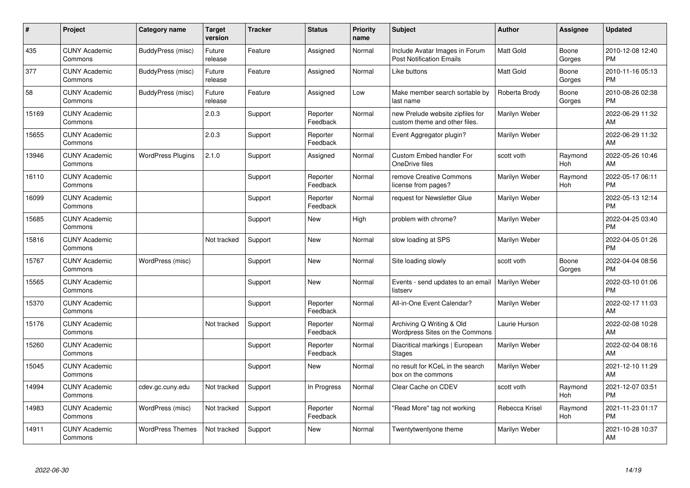| #     | <b>Project</b>                  | Category name            | <b>Target</b><br>version | <b>Tracker</b> | <b>Status</b>        | <b>Priority</b><br>name | <b>Subject</b>                                                    | Author           | Assignee        | <b>Updated</b>                |
|-------|---------------------------------|--------------------------|--------------------------|----------------|----------------------|-------------------------|-------------------------------------------------------------------|------------------|-----------------|-------------------------------|
| 435   | <b>CUNY Academic</b><br>Commons | BuddyPress (misc)        | Future<br>release        | Feature        | Assigned             | Normal                  | Include Avatar Images in Forum<br><b>Post Notification Emails</b> | <b>Matt Gold</b> | Boone<br>Gorges | 2010-12-08 12:40<br><b>PM</b> |
| 377   | <b>CUNY Academic</b><br>Commons | BuddyPress (misc)        | Future<br>release        | Feature        | Assigned             | Normal                  | Like buttons                                                      | <b>Matt Gold</b> | Boone<br>Gorges | 2010-11-16 05:13<br><b>PM</b> |
| 58    | <b>CUNY Academic</b><br>Commons | BuddyPress (misc)        | Future<br>release        | Feature        | Assigned             | Low                     | Make member search sortable by<br>last name                       | Roberta Brody    | Boone<br>Gorges | 2010-08-26 02:38<br><b>PM</b> |
| 15169 | <b>CUNY Academic</b><br>Commons |                          | 2.0.3                    | Support        | Reporter<br>Feedback | Normal                  | new Prelude website zipfiles for<br>custom theme and other files. | Marilyn Weber    |                 | 2022-06-29 11:32<br>AM        |
| 15655 | <b>CUNY Academic</b><br>Commons |                          | 2.0.3                    | Support        | Reporter<br>Feedback | Normal                  | Event Aggregator plugin?                                          | Marilyn Weber    |                 | 2022-06-29 11:32<br>AM        |
| 13946 | <b>CUNY Academic</b><br>Commons | <b>WordPress Plugins</b> | 2.1.0                    | Support        | Assigned             | Normal                  | <b>Custom Embed handler For</b><br>OneDrive files                 | scott voth       | Raymond<br>Hoh  | 2022-05-26 10:46<br>AM        |
| 16110 | <b>CUNY Academic</b><br>Commons |                          |                          | Support        | Reporter<br>Feedback | Normal                  | remove Creative Commons<br>license from pages?                    | Marilyn Weber    | Raymond<br>Hoh  | 2022-05-17 06:11<br><b>PM</b> |
| 16099 | <b>CUNY Academic</b><br>Commons |                          |                          | Support        | Reporter<br>Feedback | Normal                  | request for Newsletter Glue                                       | Marilyn Weber    |                 | 2022-05-13 12:14<br><b>PM</b> |
| 15685 | <b>CUNY Academic</b><br>Commons |                          |                          | Support        | <b>New</b>           | High                    | problem with chrome?                                              | Marilyn Weber    |                 | 2022-04-25 03:40<br><b>PM</b> |
| 15816 | <b>CUNY Academic</b><br>Commons |                          | Not tracked              | Support        | <b>New</b>           | Normal                  | slow loading at SPS                                               | Marilyn Weber    |                 | 2022-04-05 01:26<br><b>PM</b> |
| 15767 | <b>CUNY Academic</b><br>Commons | WordPress (misc)         |                          | Support        | New                  | Normal                  | Site loading slowly                                               | scott voth       | Boone<br>Gorges | 2022-04-04 08:56<br><b>PM</b> |
| 15565 | <b>CUNY Academic</b><br>Commons |                          |                          | Support        | <b>New</b>           | Normal                  | Events - send updates to an email<br>listserv                     | Marilyn Weber    |                 | 2022-03-10 01:06<br><b>PM</b> |
| 15370 | <b>CUNY Academic</b><br>Commons |                          |                          | Support        | Reporter<br>Feedback | Normal                  | All-in-One Event Calendar?                                        | Marilyn Weber    |                 | 2022-02-17 11:03<br>AM        |
| 15176 | <b>CUNY Academic</b><br>Commons |                          | Not tracked              | Support        | Reporter<br>Feedback | Normal                  | Archiving Q Writing & Old<br>Wordpress Sites on the Commons       | Laurie Hurson    |                 | 2022-02-08 10:28<br>AM        |
| 15260 | <b>CUNY Academic</b><br>Commons |                          |                          | Support        | Reporter<br>Feedback | Normal                  | Diacritical markings   European<br><b>Stages</b>                  | Marilyn Weber    |                 | 2022-02-04 08:16<br>AM        |
| 15045 | <b>CUNY Academic</b><br>Commons |                          |                          | Support        | <b>New</b>           | Normal                  | no result for KCeL in the search<br>box on the commons            | Marilyn Weber    |                 | 2021-12-10 11:29<br>AM        |
| 14994 | <b>CUNY Academic</b><br>Commons | cdev.gc.cuny.edu         | Not tracked              | Support        | In Progress          | Normal                  | Clear Cache on CDEV                                               | scott voth       | Raymond<br>Hoh  | 2021-12-07 03:51<br><b>PM</b> |
| 14983 | <b>CUNY Academic</b><br>Commons | WordPress (misc)         | Not tracked              | Support        | Reporter<br>Feedback | Normal                  | 'Read More" tag not working                                       | Rebecca Krisel   | Raymond<br>Hoh  | 2021-11-23 01:17<br><b>PM</b> |
| 14911 | <b>CUNY Academic</b><br>Commons | <b>WordPress Themes</b>  | Not tracked              | Support        | <b>New</b>           | Normal                  | Twentytwentyone theme                                             | Marilyn Weber    |                 | 2021-10-28 10:37<br>AM        |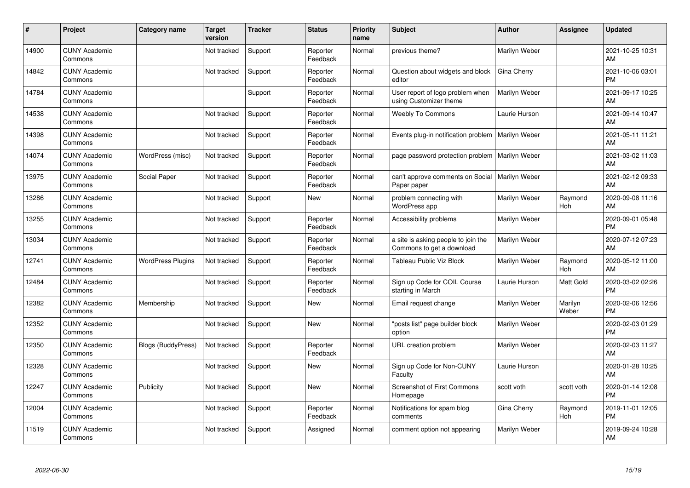| ∦     | Project                         | Category name             | <b>Target</b><br>version | <b>Tracker</b> | <b>Status</b>        | Priority<br>name | <b>Subject</b>                                                   | <b>Author</b> | <b>Assignee</b>  | <b>Updated</b>                |
|-------|---------------------------------|---------------------------|--------------------------|----------------|----------------------|------------------|------------------------------------------------------------------|---------------|------------------|-------------------------------|
| 14900 | <b>CUNY Academic</b><br>Commons |                           | Not tracked              | Support        | Reporter<br>Feedback | Normal           | previous theme?                                                  | Marilyn Weber |                  | 2021-10-25 10:31<br>AM        |
| 14842 | <b>CUNY Academic</b><br>Commons |                           | Not tracked              | Support        | Reporter<br>Feedback | Normal           | Question about widgets and block<br>editor                       | Gina Cherry   |                  | 2021-10-06 03:01<br><b>PM</b> |
| 14784 | <b>CUNY Academic</b><br>Commons |                           |                          | Support        | Reporter<br>Feedback | Normal           | User report of logo problem when<br>using Customizer theme       | Marilyn Weber |                  | 2021-09-17 10:25<br>AM        |
| 14538 | <b>CUNY Academic</b><br>Commons |                           | Not tracked              | Support        | Reporter<br>Feedback | Normal           | <b>Weebly To Commons</b>                                         | Laurie Hurson |                  | 2021-09-14 10:47<br>AM        |
| 14398 | <b>CUNY Academic</b><br>Commons |                           | Not tracked              | Support        | Reporter<br>Feedback | Normal           | Events plug-in notification problem                              | Marilyn Weber |                  | 2021-05-11 11:21<br>AM        |
| 14074 | <b>CUNY Academic</b><br>Commons | WordPress (misc)          | Not tracked              | Support        | Reporter<br>Feedback | Normal           | page password protection problem                                 | Marilyn Weber |                  | 2021-03-02 11:03<br>AM        |
| 13975 | <b>CUNY Academic</b><br>Commons | Social Paper              | Not tracked              | Support        | Reporter<br>Feedback | Normal           | can't approve comments on Social<br>Paper paper                  | Marilyn Weber |                  | 2021-02-12 09:33<br>AM        |
| 13286 | <b>CUNY Academic</b><br>Commons |                           | Not tracked              | Support        | <b>New</b>           | Normal           | problem connecting with<br>WordPress app                         | Marilyn Weber | Raymond<br>Hoh   | 2020-09-08 11:16<br>AM        |
| 13255 | <b>CUNY Academic</b><br>Commons |                           | Not tracked              | Support        | Reporter<br>Feedback | Normal           | Accessibility problems                                           | Marilyn Weber |                  | 2020-09-01 05:48<br><b>PM</b> |
| 13034 | <b>CUNY Academic</b><br>Commons |                           | Not tracked              | Support        | Reporter<br>Feedback | Normal           | a site is asking people to join the<br>Commons to get a download | Marilyn Weber |                  | 2020-07-12 07:23<br>AM        |
| 12741 | <b>CUNY Academic</b><br>Commons | <b>WordPress Plugins</b>  | Not tracked              | Support        | Reporter<br>Feedback | Normal           | Tableau Public Viz Block                                         | Marilyn Weber | Raymond<br>Hoh   | 2020-05-12 11:00<br>AM        |
| 12484 | <b>CUNY Academic</b><br>Commons |                           | Not tracked              | Support        | Reporter<br>Feedback | Normal           | Sign up Code for COIL Course<br>starting in March                | Laurie Hurson | Matt Gold        | 2020-03-02 02:26<br><b>PM</b> |
| 12382 | <b>CUNY Academic</b><br>Commons | Membership                | Not tracked              | Support        | <b>New</b>           | Normal           | Email request change                                             | Marilyn Weber | Marilyn<br>Weber | 2020-02-06 12:56<br><b>PM</b> |
| 12352 | <b>CUNY Academic</b><br>Commons |                           | Not tracked              | Support        | <b>New</b>           | Normal           | "posts list" page builder block<br>option                        | Marilyn Weber |                  | 2020-02-03 01:29<br><b>PM</b> |
| 12350 | <b>CUNY Academic</b><br>Commons | <b>Blogs (BuddyPress)</b> | Not tracked              | Support        | Reporter<br>Feedback | Normal           | URL creation problem                                             | Marilyn Weber |                  | 2020-02-03 11:27<br>AM        |
| 12328 | <b>CUNY Academic</b><br>Commons |                           | Not tracked              | Support        | <b>New</b>           | Normal           | Sign up Code for Non-CUNY<br>Faculty                             | Laurie Hurson |                  | 2020-01-28 10:25<br>AM        |
| 12247 | <b>CUNY Academic</b><br>Commons | Publicity                 | Not tracked              | Support        | New                  | Normal           | <b>Screenshot of First Commons</b><br>Homepage                   | scott voth    | scott voth       | 2020-01-14 12:08<br><b>PM</b> |
| 12004 | <b>CUNY Academic</b><br>Commons |                           | Not tracked              | Support        | Reporter<br>Feedback | Normal           | Notifications for spam blog<br>comments                          | Gina Cherry   | Raymond<br>Hoh   | 2019-11-01 12:05<br><b>PM</b> |
| 11519 | <b>CUNY Academic</b><br>Commons |                           | Not tracked              | Support        | Assigned             | Normal           | comment option not appearing                                     | Marilyn Weber |                  | 2019-09-24 10:28<br>AM        |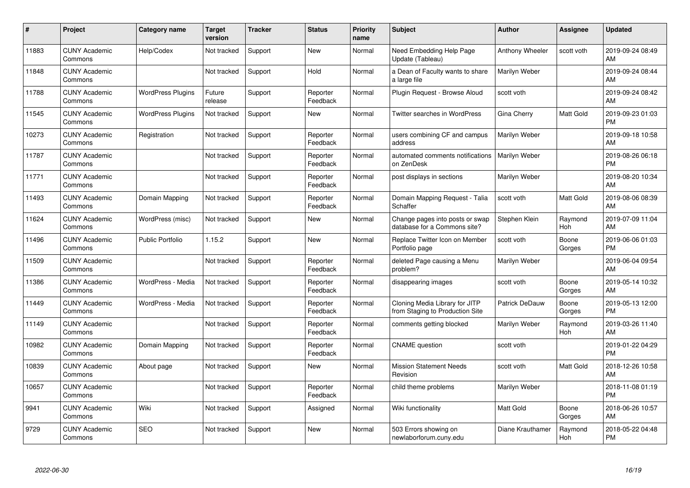| #     | Project                         | <b>Category name</b>     | Target<br>version | <b>Tracker</b> | <b>Status</b>        | Priority<br>name | <b>Subject</b>                                                    | <b>Author</b>          | <b>Assignee</b> | <b>Updated</b>                |
|-------|---------------------------------|--------------------------|-------------------|----------------|----------------------|------------------|-------------------------------------------------------------------|------------------------|-----------------|-------------------------------|
| 11883 | <b>CUNY Academic</b><br>Commons | Help/Codex               | Not tracked       | Support        | <b>New</b>           | Normal           | Need Embedding Help Page<br>Update (Tableau)                      | <b>Anthony Wheeler</b> | scott voth      | 2019-09-24 08:49<br>AM.       |
| 11848 | <b>CUNY Academic</b><br>Commons |                          | Not tracked       | Support        | Hold                 | Normal           | a Dean of Faculty wants to share<br>a large file                  | Marilyn Weber          |                 | 2019-09-24 08:44<br><b>AM</b> |
| 11788 | <b>CUNY Academic</b><br>Commons | <b>WordPress Plugins</b> | Future<br>release | Support        | Reporter<br>Feedback | Normal           | Plugin Request - Browse Aloud                                     | scott voth             |                 | 2019-09-24 08:42<br>AM        |
| 11545 | <b>CUNY Academic</b><br>Commons | <b>WordPress Plugins</b> | Not tracked       | Support        | <b>New</b>           | Normal           | Twitter searches in WordPress                                     | Gina Cherry            | Matt Gold       | 2019-09-23 01:03<br><b>PM</b> |
| 10273 | <b>CUNY Academic</b><br>Commons | Registration             | Not tracked       | Support        | Reporter<br>Feedback | Normal           | users combining CF and campus<br>address                          | Marilyn Weber          |                 | 2019-09-18 10:58<br><b>AM</b> |
| 11787 | <b>CUNY Academic</b><br>Commons |                          | Not tracked       | Support        | Reporter<br>Feedback | Normal           | automated comments notifications<br>on ZenDesk                    | <b>Marilyn Weber</b>   |                 | 2019-08-26 06:18<br><b>PM</b> |
| 11771 | <b>CUNY Academic</b><br>Commons |                          | Not tracked       | Support        | Reporter<br>Feedback | Normal           | post displays in sections                                         | Marilyn Weber          |                 | 2019-08-20 10:34<br>AM        |
| 11493 | <b>CUNY Academic</b><br>Commons | Domain Mapping           | Not tracked       | Support        | Reporter<br>Feedback | Normal           | Domain Mapping Request - Talia<br>Schaffer                        | scott voth             | Matt Gold       | 2019-08-06 08:39<br>AM        |
| 11624 | <b>CUNY Academic</b><br>Commons | WordPress (misc)         | Not tracked       | Support        | New                  | Normal           | Change pages into posts or swap<br>database for a Commons site?   | Stephen Klein          | Raymond<br>Hoh  | 2019-07-09 11:04<br>AM        |
| 11496 | <b>CUNY Academic</b><br>Commons | <b>Public Portfolio</b>  | 1.15.2            | Support        | New                  | Normal           | Replace Twitter Icon on Member<br>Portfolio page                  | scott voth             | Boone<br>Gorges | 2019-06-06 01:03<br><b>PM</b> |
| 11509 | <b>CUNY Academic</b><br>Commons |                          | Not tracked       | Support        | Reporter<br>Feedback | Normal           | deleted Page causing a Menu<br>problem?                           | Marilyn Weber          |                 | 2019-06-04 09:54<br>AM        |
| 11386 | <b>CUNY Academic</b><br>Commons | WordPress - Media        | Not tracked       | Support        | Reporter<br>Feedback | Normal           | disappearing images                                               | scott voth             | Boone<br>Gorges | 2019-05-14 10:32<br><b>AM</b> |
| 11449 | <b>CUNY Academic</b><br>Commons | WordPress - Media        | Not tracked       | Support        | Reporter<br>Feedback | Normal           | Cloning Media Library for JITP<br>from Staging to Production Site | Patrick DeDauw         | Boone<br>Gorges | 2019-05-13 12:00<br><b>PM</b> |
| 11149 | <b>CUNY Academic</b><br>Commons |                          | Not tracked       | Support        | Reporter<br>Feedback | Normal           | comments getting blocked                                          | Marilyn Weber          | Raymond<br>Hoh  | 2019-03-26 11:40<br>AM        |
| 10982 | <b>CUNY Academic</b><br>Commons | Domain Mapping           | Not tracked       | Support        | Reporter<br>Feedback | Normal           | <b>CNAME</b> question                                             | scott voth             |                 | 2019-01-22 04:29<br><b>PM</b> |
| 10839 | <b>CUNY Academic</b><br>Commons | About page               | Not tracked       | Support        | New                  | Normal           | <b>Mission Statement Needs</b><br>Revision                        | scott voth             | Matt Gold       | 2018-12-26 10:58<br><b>AM</b> |
| 10657 | <b>CUNY Academic</b><br>Commons |                          | Not tracked       | Support        | Reporter<br>Feedback | Normal           | child theme problems                                              | Marilyn Weber          |                 | 2018-11-08 01:19<br><b>PM</b> |
| 9941  | <b>CUNY Academic</b><br>Commons | Wiki                     | Not tracked       | Support        | Assigned             | Normal           | Wiki functionality                                                | Matt Gold              | Boone<br>Gorges | 2018-06-26 10:57<br>AM        |
| 9729  | <b>CUNY Academic</b><br>Commons | <b>SEO</b>               | Not tracked       | Support        | <b>New</b>           | Normal           | 503 Errors showing on<br>newlaborforum.cuny.edu                   | Diane Krauthamer       | Raymond<br>Hoh  | 2018-05-22 04:48<br><b>PM</b> |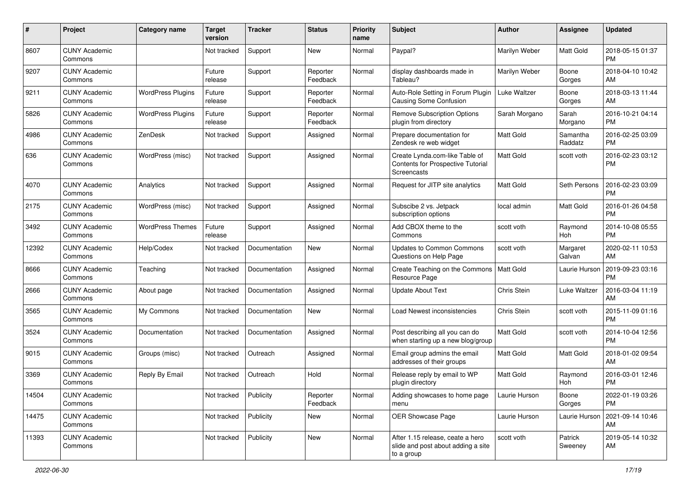| #     | Project                         | <b>Category name</b>     | <b>Target</b><br>version | <b>Tracker</b> | <b>Status</b>        | Priority<br>name | <b>Subject</b>                                                                       | Author           | <b>Assignee</b>     | <b>Updated</b>                |
|-------|---------------------------------|--------------------------|--------------------------|----------------|----------------------|------------------|--------------------------------------------------------------------------------------|------------------|---------------------|-------------------------------|
| 8607  | <b>CUNY Academic</b><br>Commons |                          | Not tracked              | Support        | New                  | Normal           | Paypal?                                                                              | Marilyn Weber    | Matt Gold           | 2018-05-15 01:37<br><b>PM</b> |
| 9207  | <b>CUNY Academic</b><br>Commons |                          | Future<br>release        | Support        | Reporter<br>Feedback | Normal           | display dashboards made in<br>Tableau?                                               | Marilyn Weber    | Boone<br>Gorges     | 2018-04-10 10:42<br>AM        |
| 9211  | <b>CUNY Academic</b><br>Commons | <b>WordPress Plugins</b> | Future<br>release        | Support        | Reporter<br>Feedback | Normal           | Auto-Role Setting in Forum Plugin<br>Causing Some Confusion                          | Luke Waltzer     | Boone<br>Gorges     | 2018-03-13 11:44<br>AM        |
| 5826  | <b>CUNY Academic</b><br>Commons | <b>WordPress Plugins</b> | Future<br>release        | Support        | Reporter<br>Feedback | Normal           | <b>Remove Subscription Options</b><br>plugin from directory                          | Sarah Morgano    | Sarah<br>Morgano    | 2016-10-21 04:14<br><b>PM</b> |
| 4986  | <b>CUNY Academic</b><br>Commons | ZenDesk                  | Not tracked              | Support        | Assigned             | Normal           | Prepare documentation for<br>Zendesk re web widget                                   | <b>Matt Gold</b> | Samantha<br>Raddatz | 2016-02-25 03:09<br><b>PM</b> |
| 636   | <b>CUNY Academic</b><br>Commons | WordPress (misc)         | Not tracked              | Support        | Assigned             | Normal           | Create Lynda.com-like Table of<br>Contents for Prospective Tutorial<br>Screencasts   | <b>Matt Gold</b> | scott voth          | 2016-02-23 03:12<br><b>PM</b> |
| 4070  | <b>CUNY Academic</b><br>Commons | Analytics                | Not tracked              | Support        | Assigned             | Normal           | Request for JITP site analytics                                                      | <b>Matt Gold</b> | Seth Persons        | 2016-02-23 03:09<br><b>PM</b> |
| 2175  | <b>CUNY Academic</b><br>Commons | WordPress (misc)         | Not tracked              | Support        | Assigned             | Normal           | Subscibe 2 vs. Jetpack<br>subscription options                                       | local admin      | Matt Gold           | 2016-01-26 04:58<br><b>PM</b> |
| 3492  | <b>CUNY Academic</b><br>Commons | <b>WordPress Themes</b>  | Future<br>release        | Support        | Assigned             | Normal           | Add CBOX theme to the<br>Commons                                                     | scott voth       | Raymond<br>Hoh      | 2014-10-08 05:55<br><b>PM</b> |
| 12392 | <b>CUNY Academic</b><br>Commons | Help/Codex               | Not tracked              | Documentation  | New                  | Normal           | Updates to Common Commons<br>Questions on Help Page                                  | scott voth       | Margaret<br>Galvan  | 2020-02-11 10:53<br>AM        |
| 8666  | <b>CUNY Academic</b><br>Commons | Teaching                 | Not tracked              | Documentation  | Assigned             | Normal           | Create Teaching on the Commons<br>Resource Page                                      | <b>Matt Gold</b> | Laurie Hurson       | 2019-09-23 03:16<br><b>PM</b> |
| 2666  | <b>CUNY Academic</b><br>Commons | About page               | Not tracked              | Documentation  | Assigned             | Normal           | <b>Update About Text</b>                                                             | Chris Stein      | Luke Waltzer        | 2016-03-04 11:19<br>AM        |
| 3565  | <b>CUNY Academic</b><br>Commons | My Commons               | Not tracked              | Documentation  | <b>New</b>           | Normal           | Load Newest inconsistencies                                                          | Chris Stein      | scott voth          | 2015-11-09 01:16<br><b>PM</b> |
| 3524  | <b>CUNY Academic</b><br>Commons | Documentation            | Not tracked              | Documentation  | Assigned             | Normal           | Post describing all you can do<br>when starting up a new blog/group                  | <b>Matt Gold</b> | scott voth          | 2014-10-04 12:56<br><b>PM</b> |
| 9015  | <b>CUNY Academic</b><br>Commons | Groups (misc)            | Not tracked              | Outreach       | Assigned             | Normal           | Email group admins the email<br>addresses of their groups                            | Matt Gold        | Matt Gold           | 2018-01-02 09:54<br>AM        |
| 3369  | <b>CUNY Academic</b><br>Commons | Reply By Email           | Not tracked              | Outreach       | Hold                 | Normal           | Release reply by email to WP<br>plugin directory                                     | Matt Gold        | Raymond<br>Hoh      | 2016-03-01 12:46<br><b>PM</b> |
| 14504 | <b>CUNY Academic</b><br>Commons |                          | Not tracked              | Publicity      | Reporter<br>Feedback | Normal           | Adding showcases to home page<br>menu                                                | Laurie Hurson    | Boone<br>Gorges     | 2022-01-19 03:26<br><b>PM</b> |
| 14475 | <b>CUNY Academic</b><br>Commons |                          | Not tracked              | Publicity      | New                  | Normal           | OER Showcase Page                                                                    | Laurie Hurson    | Laurie Hurson       | 2021-09-14 10:46<br>AM        |
| 11393 | <b>CUNY Academic</b><br>Commons |                          | Not tracked              | Publicity      | New                  | Normal           | After 1.15 release, ceate a hero<br>slide and post about adding a site<br>to a group | scott voth       | Patrick<br>Sweeney  | 2019-05-14 10:32<br>AM        |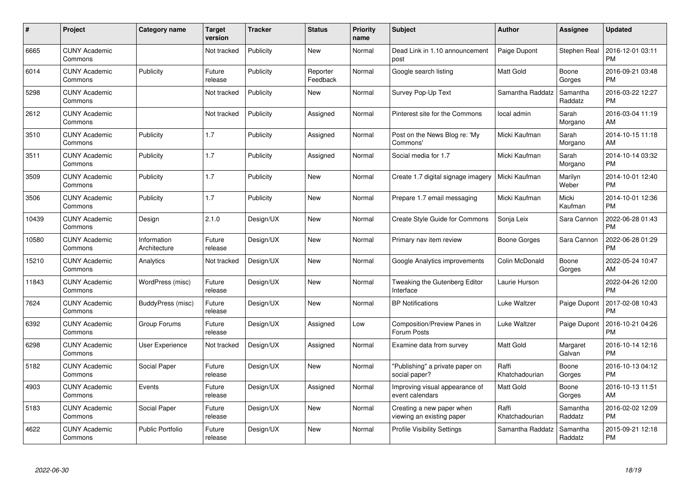| #     | Project                         | <b>Category name</b>        | <b>Target</b><br>version | <b>Tracker</b> | <b>Status</b>        | <b>Priority</b><br>name | <b>Subject</b>                                         | <b>Author</b>           | <b>Assignee</b>     | <b>Updated</b>                |
|-------|---------------------------------|-----------------------------|--------------------------|----------------|----------------------|-------------------------|--------------------------------------------------------|-------------------------|---------------------|-------------------------------|
| 6665  | <b>CUNY Academic</b><br>Commons |                             | Not tracked              | Publicity      | <b>New</b>           | Normal                  | Dead Link in 1.10 announcement<br>post                 | Paige Dupont            | Stephen Real        | 2016-12-01 03:11<br><b>PM</b> |
| 6014  | <b>CUNY Academic</b><br>Commons | Publicity                   | Future<br>release        | Publicity      | Reporter<br>Feedback | Normal                  | Google search listing                                  | <b>Matt Gold</b>        | Boone<br>Gorges     | 2016-09-21 03:48<br><b>PM</b> |
| 5298  | <b>CUNY Academic</b><br>Commons |                             | Not tracked              | Publicity      | <b>New</b>           | Normal                  | Survey Pop-Up Text                                     | Samantha Raddatz        | Samantha<br>Raddatz | 2016-03-22 12:27<br><b>PM</b> |
| 2612  | <b>CUNY Academic</b><br>Commons |                             | Not tracked              | Publicity      | Assigned             | Normal                  | Pinterest site for the Commons                         | local admin             | Sarah<br>Morgano    | 2016-03-04 11:19<br>AM        |
| 3510  | <b>CUNY Academic</b><br>Commons | Publicity                   | 1.7                      | Publicity      | Assigned             | Normal                  | Post on the News Blog re: 'My<br>Commons'              | Micki Kaufman           | Sarah<br>Morgano    | 2014-10-15 11:18<br>AM        |
| 3511  | <b>CUNY Academic</b><br>Commons | Publicity                   | 1.7                      | Publicity      | Assigned             | Normal                  | Social media for 1.7                                   | Micki Kaufman           | Sarah<br>Morgano    | 2014-10-14 03:32<br><b>PM</b> |
| 3509  | <b>CUNY Academic</b><br>Commons | Publicity                   | 1.7                      | Publicity      | New                  | Normal                  | Create 1.7 digital signage imagery                     | Micki Kaufman           | Marilyn<br>Weber    | 2014-10-01 12:40<br><b>PM</b> |
| 3506  | <b>CUNY Academic</b><br>Commons | Publicity                   | 1.7                      | Publicity      | <b>New</b>           | Normal                  | Prepare 1.7 email messaging                            | Micki Kaufman           | Micki<br>Kaufman    | 2014-10-01 12:36<br><b>PM</b> |
| 10439 | <b>CUNY Academic</b><br>Commons | Design                      | 2.1.0                    | Design/UX      | New                  | Normal                  | Create Style Guide for Commons                         | Sonja Leix              | Sara Cannon         | 2022-06-28 01:43<br><b>PM</b> |
| 10580 | <b>CUNY Academic</b><br>Commons | Information<br>Architecture | Future<br>release        | Design/UX      | New                  | Normal                  | Primary nav item review                                | Boone Gorges            | Sara Cannon         | 2022-06-28 01:29<br><b>PM</b> |
| 15210 | <b>CUNY Academic</b><br>Commons | Analytics                   | Not tracked              | Design/UX      | New                  | Normal                  | Google Analytics improvements                          | Colin McDonald          | Boone<br>Gorges     | 2022-05-24 10:47<br>AM        |
| 11843 | <b>CUNY Academic</b><br>Commons | WordPress (misc)            | Future<br>release        | Design/UX      | New                  | Normal                  | Tweaking the Gutenberg Editor<br>Interface             | Laurie Hurson           |                     | 2022-04-26 12:00<br><b>PM</b> |
| 7624  | <b>CUNY Academic</b><br>Commons | BuddyPress (misc)           | Future<br>release        | Design/UX      | New                  | Normal                  | <b>BP</b> Notifications                                | Luke Waltzer            | Paige Dupont        | 2017-02-08 10:43<br><b>PM</b> |
| 6392  | <b>CUNY Academic</b><br>Commons | Group Forums                | Future<br>release        | Design/UX      | Assigned             | Low                     | Composition/Preview Panes in<br>Forum Posts            | Luke Waltzer            | Paige Dupont        | 2016-10-21 04:26<br><b>PM</b> |
| 6298  | <b>CUNY Academic</b><br>Commons | User Experience             | Not tracked              | Design/UX      | Assigned             | Normal                  | Examine data from survey                               | Matt Gold               | Margaret<br>Galvan  | 2016-10-14 12:16<br><b>PM</b> |
| 5182  | <b>CUNY Academic</b><br>Commons | Social Paper                | Future<br>release        | Design/UX      | New                  | Normal                  | "Publishing" a private paper on<br>social paper?       | Raffi<br>Khatchadourian | Boone<br>Gorges     | 2016-10-13 04:12<br><b>PM</b> |
| 4903  | <b>CUNY Academic</b><br>Commons | Events                      | Future<br>release        | Design/UX      | Assigned             | Normal                  | Improving visual appearance of<br>event calendars      | <b>Matt Gold</b>        | Boone<br>Gorges     | 2016-10-13 11:51<br>AM        |
| 5183  | <b>CUNY Academic</b><br>Commons | Social Paper                | Future<br>release        | Design/UX      | New                  | Normal                  | Creating a new paper when<br>viewing an existing paper | Raffi<br>Khatchadourian | Samantha<br>Raddatz | 2016-02-02 12:09<br><b>PM</b> |
| 4622  | <b>CUNY Academic</b><br>Commons | Public Portfolio            | Future<br>release        | Design/UX      | <b>New</b>           | Normal                  | <b>Profile Visibility Settings</b>                     | Samantha Raddatz        | Samantha<br>Raddatz | 2015-09-21 12:18<br><b>PM</b> |